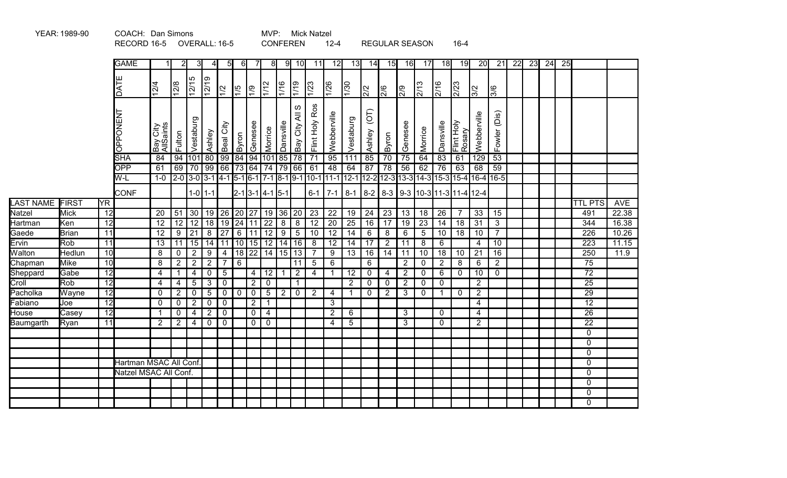|                  |              |                        | REUURD 10-3 UVERALL. 10-3 |                       |                |                                            |                 |                |                 |                |                                |                | <b>UUINFEREIN</b>  |                 | $12 - 4$        |                 |                          |                 | REGULAR SEASUN   |                 |                 | $10 - 4$             |                                                                                            |                 |    |    |    |    |                 |            |
|------------------|--------------|------------------------|---------------------------|-----------------------|----------------|--------------------------------------------|-----------------|----------------|-----------------|----------------|--------------------------------|----------------|--------------------|-----------------|-----------------|-----------------|--------------------------|-----------------|------------------|-----------------|-----------------|----------------------|--------------------------------------------------------------------------------------------|-----------------|----|----|----|----|-----------------|------------|
|                  |              |                        | <b>GAME</b>               |                       | 21             | -31                                        | $\overline{4}$  | 51             | 61              | 7              | 8                              | 9              | 10                 | 11              | 12              | 13              | 14                       | 15              | 16               | 17              | 18              | 19                   | 20                                                                                         | 21              | 22 | 23 | 24 | 25 |                 |            |
|                  |              |                        | DATE                      | $\frac{12}{4}$        | 12/8           | 5<br>$\overline{12/1!}$                    | $\frac{12}{19}$ | $ \tilde{z} $  | $\frac{5}{1}$   | $\sqrt{2}$     | $\sqrt{1/12}$                  | $\frac{1}{16}$ | 61/1               | $\frac{1}{23}$  | $\frac{126}{1}$ | $\frac{1}{30}$  | $\sqrt{2}$               | $\frac{1}{2}$   | $\overline{2/9}$ | $\frac{2}{13}$  | 2/16            | 2/23                 | $\frac{1}{2}$                                                                              | <u>ခြိ</u>      |    |    |    |    |                 |            |
|                  |              |                        | <b>OPPONENT</b>           | Bay City<br>AllSaints | Fulton         | Vestaburg                                  | Ashley          | City<br>Beal   | Byron           | Genesee        | Morrice                        | Dansville      | ဖ<br>₹<br>Bay City | Flint Holy Ros  | Webberville     | Vestaburg       | $\overline{C}$<br>Ashley | Byron           | Genesee          | Morrice         | Dansville       | Flint Holy<br>Rosary | Webberville                                                                                | Fowler (Dis)    |    |    |    |    |                 |            |
|                  |              |                        | <b>SHA</b>                | 84                    | 94             |                                            |                 | 101 80 99      |                 |                | 84 94 101 85                   |                | $\overline{78}$    | $\overline{71}$ | $\overline{95}$ | 111             | 85                       | $\overline{70}$ | $\overline{75}$  | 64              | $\overline{83}$ | 61                   | 129                                                                                        | 53              |    |    |    |    |                 |            |
|                  |              |                        | <b>OPP</b>                | 61                    |                | 69   70   99   66   73   64   74   79   66 |                 |                |                 |                |                                |                |                    | 61              | 48              | 64              | 87                       | 78              | 56               | 62              | 76              | 63                   | 68                                                                                         | 59              |    |    |    |    |                 |            |
|                  |              |                        | W-L                       | $1-0$                 |                |                                            |                 |                |                 |                |                                |                |                    |                 |                 |                 |                          |                 |                  |                 |                 |                      | 2-0 3-0 3-1 4-1 5-1 6-1 7-1 8-1 9-1 10-1 11-1 12-1 12-2 12-3 13-3 14-3 15-3 15-4 16-4 16-5 |                 |    |    |    |    |                 |            |
|                  |              |                        | <b>CONF</b>               |                       |                |                                            | $1 - 0$   1-1   |                |                 |                | $2 - 1$ 3 - 1 4 - 1 5 - 1      |                |                    |                 | $6-1$ 7-1       |                 |                          |                 |                  |                 |                 |                      | 8-1 8-2 8-3 9-3 10-3 11-3 11-4 12-4                                                        |                 |    |    |    |    |                 |            |
| <b>LAST NAME</b> | FIRST        | $\overline{\text{YR}}$ |                           |                       |                |                                            |                 |                |                 |                |                                |                |                    |                 |                 |                 |                          |                 |                  |                 |                 |                      |                                                                                            |                 |    |    |    |    | <b>TTL PTS</b>  | <b>AVE</b> |
| Natzel           | <b>Mick</b>  | $\overline{12}$        |                           | 20                    | 51             |                                            |                 | 30   19   26   |                 |                | 20 27 19 36 20                 |                |                    | $\overline{23}$ | 22              | 19              | 24                       | 23              | 13               | 18              | $\overline{26}$ | 7                    | 33                                                                                         | $\overline{15}$ |    |    |    |    | 491             | 22.38      |
| Hartman          | Ken          | 12                     |                           | 12                    | 12             | 12                                         |                 | 18 19          |                 |                | $\boxed{24}$ 11 $\boxed{22}$ 8 |                | $\overline{8}$     | 12              | 20              | $\overline{25}$ | 16                       | 17              | 19               | $\overline{23}$ | $\overline{14}$ | $\overline{18}$      | $\overline{31}$                                                                            | $\mathbf{3}$    |    |    |    |    | 344             | 16.38      |
| Gaede            | <b>Brian</b> | 11                     |                           | 12                    | $\overline{9}$ | $\overline{21}$                            |                 | $8 \mid 27$    | 6               | 11             |                                | $12 \mid 9$    | $\overline{5}$     | 10              | $\overline{12}$ | $\overline{14}$ | $6\overline{6}$          | 8               | 6                | $\sqrt{5}$      | 10              | $\overline{18}$      | 10                                                                                         | $\overline{7}$  |    |    |    |    | 226             | 10.26      |
| Ervin            | Rob          | $\overline{11}$        |                           | 13                    | 11             | 15                                         |                 | $14$ 11        | 10              | 15             |                                | $12$ 14        | 16                 | 8               | 12              | 14              | 17                       | $\overline{2}$  | 11               | 8               | 6               |                      | 4                                                                                          | 10              |    |    |    |    | 223             | 11.15      |
| Walton           | Hedlun       | 10                     |                           | 8                     | $\mathbf 0$    | $\overline{2}$                             | 9               | 4              | 18              | 22             |                                | 14 15          | $\overline{13}$    | $\overline{7}$  | 9               | 13              | 16                       | 14              | 11               | $\overline{10}$ | 18              | 10                   | 21                                                                                         | 16              |    |    |    |    | 250             | 11.9       |
| Chapman          | <b>Mike</b>  | 10                     |                           | 8                     | $\overline{2}$ | $\overline{2}$                             | $\overline{2}$  | 7              | $6\overline{6}$ |                |                                |                | 11                 | $5\phantom{.0}$ | 6               |                 | $6\overline{6}$          |                 | $\overline{2}$   | $\mathbf 0$     | $\overline{2}$  | 8                    | 6                                                                                          | $\overline{2}$  |    |    |    |    | $\overline{75}$ |            |
| Sheppard         | Gabe         | $\overline{12}$        |                           | $\overline{4}$        | $\mathbf{1}$   | 4                                          | $\mathbf 0$     | $\overline{5}$ |                 | $\overline{4}$ | $12$   1                       |                | $\overline{2}$     | 4               | -1              | 12              | $\mathbf 0$              | $\overline{4}$  | $\overline{2}$   | $\mathbf 0$     | 6               | $\mathbf 0$          | 10                                                                                         | $\mathbf 0$     |    |    |    |    | $\overline{72}$ |            |
| Croll            | Rob          | $\overline{12}$        |                           | 4                     | $\overline{4}$ | 5                                          | $\mathbf{3}$    | $\mathbf 0$    |                 | $\overline{2}$ | 0                              |                | $\mathbf{1}$       |                 |                 | $\overline{2}$  | $\mathbf{0}$             | $\mathbf 0$     | $\overline{2}$   | $\mathbf 0$     | $\mathbf{0}$    |                      | $\overline{2}$                                                                             |                 |    |    |    |    | $\overline{25}$ |            |
| Pacholka         | Wayne        | $\overline{12}$        |                           | 0                     | $\overline{2}$ | $\mathbf 0$                                | $\overline{5}$  | $\mathbf 0$    | $\overline{0}$  | $\mathbf 0$    | $5\phantom{.0}$                | $\overline{2}$ | $\mathbf 0$        | $\overline{2}$  | 4               | 1               | $\mathbf 0$              | $\overline{2}$  | 3                | $\mathbf 0$     |                 | $\mathbf{0}$         | $\overline{2}$                                                                             |                 |    |    |    |    | 29              |            |
| Fabiano          | Joe          | 12                     |                           | 0                     | $\mathbf 0$    | $\overline{2}$                             | $\mathbf 0$     | $\mathbf 0$    |                 | 2 <sup>1</sup> | $\mathbf{1}$                   |                |                    |                 | 3               |                 |                          |                 |                  |                 |                 |                      | 4                                                                                          |                 |    |    |    |    | $\overline{12}$ |            |
| House            | Casey        | 12                     |                           | $\mathbf{1}$          | $\mathbf 0$    | $\overline{4}$                             | 2               | $\mathbf 0$    |                 | $\mathbf 0$    | 4                              |                |                    |                 | $\overline{2}$  | 6               |                          |                 | 3                |                 | $\Omega$        |                      | 4                                                                                          |                 |    |    |    |    | $\overline{26}$ |            |
| Baumgarth        | Ryan         | $\overline{11}$        |                           | $\overline{2}$        | $\overline{2}$ | $\overline{4}$                             | $\mathbf 0$     | $\mathbf 0$    |                 | $\overline{0}$ | $\mathbf 0$                    |                |                    |                 | $\overline{4}$  | 5               |                          |                 | 3                |                 | $\Omega$        |                      | $\overline{2}$                                                                             |                 |    |    |    |    | $\overline{22}$ |            |
|                  |              |                        |                           |                       |                |                                            |                 |                |                 |                |                                |                |                    |                 |                 |                 |                          |                 |                  |                 |                 |                      |                                                                                            |                 |    |    |    |    | 0               |            |
|                  |              |                        |                           |                       |                |                                            |                 |                |                 |                |                                |                |                    |                 |                 |                 |                          |                 |                  |                 |                 |                      |                                                                                            |                 |    |    |    |    | $\Omega$        |            |
|                  |              |                        |                           |                       |                |                                            |                 |                |                 |                |                                |                |                    |                 |                 |                 |                          |                 |                  |                 |                 |                      |                                                                                            |                 |    |    |    |    | 0               |            |
|                  |              |                        | Hartman MSAC All Conf.    |                       |                |                                            |                 |                |                 |                |                                |                |                    |                 |                 |                 |                          |                 |                  |                 |                 |                      |                                                                                            |                 |    |    |    |    | 0               |            |
|                  |              |                        | Natzel MSAC All Conf.     |                       |                |                                            |                 |                |                 |                |                                |                |                    |                 |                 |                 |                          |                 |                  |                 |                 |                      |                                                                                            |                 |    |    |    |    | 0               |            |
|                  |              |                        |                           |                       |                |                                            |                 |                |                 |                |                                |                |                    |                 |                 |                 |                          |                 |                  |                 |                 |                      |                                                                                            |                 |    |    |    |    | $\overline{0}$  |            |
|                  |              |                        |                           |                       |                |                                            |                 |                |                 |                |                                |                |                    |                 |                 |                 |                          |                 |                  |                 |                 |                      |                                                                                            |                 |    |    |    |    | $\overline{0}$  |            |
|                  |              |                        |                           |                       |                |                                            |                 |                |                 |                |                                |                |                    |                 |                 |                 |                          |                 |                  |                 |                 |                      |                                                                                            |                 |    |    |    |    | $\mathbf{0}$    |            |

YEAR: 1989-90 COACH: Dan Simons MVP: Mick Natzel<br>RECORD 16-5 OVERALL: 16-5 CONFEREN 12-4 RECORD 16-5 OVERALL: 16-5 CONFEREN 12-4 REGULAR SEASON 16-4 MVP: Mick Natzel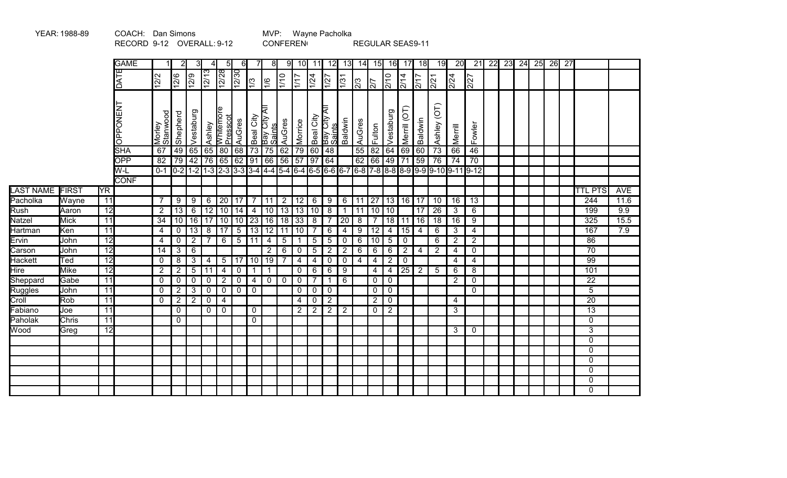|                             | YEAR: 1988-89 |                 | COACH: Dan Simons         |                    |                 |                 |                 |                                 |                |                |                         |                |                 |                         | MVP: Wayne Pacholka     |                |                  |                  |                 |                 |                 |                   |                                                                                                                                  |                 |                 |                 |    |    |                    |                 |            |
|-----------------------------|---------------|-----------------|---------------------------|--------------------|-----------------|-----------------|-----------------|---------------------------------|----------------|----------------|-------------------------|----------------|-----------------|-------------------------|-------------------------|----------------|------------------|------------------|-----------------|-----------------|-----------------|-------------------|----------------------------------------------------------------------------------------------------------------------------------|-----------------|-----------------|-----------------|----|----|--------------------|-----------------|------------|
|                             |               |                 | RECORD 9-12 OVERALL: 9-12 |                    |                 |                 |                 |                                 |                |                |                         |                | <b>CONFEREN</b> |                         |                         |                |                  | REGULAR SEAS9-11 |                 |                 |                 |                   |                                                                                                                                  |                 |                 |                 |    |    |                    |                 |            |
|                             |               |                 | <b>GAME</b>               |                    |                 |                 |                 | 5                               | 61             |                | 81                      | 91             | 10 <sub>l</sub> | 11                      | 12                      | 13             | 14               | 15               | 16              | 17              | 18              | 19                | 20                                                                                                                               | $\overline{21}$ | $\overline{22}$ | $\overline{23}$ | 24 | 25 | $\overline{26}$ 27 |                 |            |
|                             |               |                 | DATE                      | 12/2               | 2/6             | $\sqrt{2/9}$    | $\frac{12}{13}$ | 12/28                           | 12/30          | $ \tilde{z} $  | ¦€                      | $\frac{10}{2}$ | $\frac{1}{1}$   | 1/24                    | $\frac{1}{27}$          | $\sqrt{31}$    | $\sqrt{3}$       | $\frac{1}{2}$    | $\frac{1}{270}$ | $\frac{1}{214}$ | $\frac{2}{17}$  | $\overline{2/21}$ | $\frac{1}{2/24}$                                                                                                                 | 2/27            |                 |                 |    |    |                    |                 |            |
|                             |               |                 | <b>OPPONENT</b>           | Morley<br>Stanwood | Shepherd        | Vestaburg       |                 | Ashley<br>Whitemore<br>Presscot | AuGres         | Beal City      | Bay City All<br> Saints | AuGres         | Morrice         | Beal City               | ₹<br>Bay City<br>Saints | Baldwin        | AuGres           | Fulton           | Vestaburg       | Merrill (OT)    | Baldwin         | Ashley (OT)       | Merrill                                                                                                                          | Fowler          |                 |                 |    |    |                    |                 |            |
|                             |               |                 | <b>SHA</b>                | 67                 | 49              |                 |                 | 65   65   80                    | 68             | 73             |                         | 75 62          | 79              | 60                      | 48                      |                | 55               | 82               | 64              | 69              | 60              | 73                | 66                                                                                                                               | $\overline{46}$ |                 |                 |    |    |                    |                 |            |
|                             |               |                 | OPP                       | $\overline{82}$    | 79              |                 |                 | 42 76 65 62 91 66 56            |                |                |                         |                | $\overline{57}$ |                         | 97 64                   |                | 62               | $\boxed{66}$     | $ 49\rangle$    |                 | 71 59           | $\overline{76}$   | $\overline{74}$                                                                                                                  | $\overline{70}$ |                 |                 |    |    |                    |                 |            |
|                             |               |                 | W-L<br><b>CONF</b>        |                    |                 |                 |                 |                                 |                |                |                         |                |                 |                         |                         |                |                  |                  |                 |                 |                 |                   | $0-1$ $0-2$ $1-2$ $1-3$ $2-3$ $3-3$ $3-4$ $4-4$ $5-4$ $6-4$ $6-5$ $6-6$ $6-7$ $6-8$ $7-8$ $8-8$ $8-9$ $9-9$ $9-10$ $9-11$ $9-12$ |                 |                 |                 |    |    |                    |                 |            |
| LAST NAME FIRST             |               | <b>YR</b>       |                           |                    |                 |                 |                 |                                 |                |                |                         |                |                 |                         |                         |                |                  |                  |                 |                 |                 |                   |                                                                                                                                  |                 |                 |                 |    |    |                    | <b>TTL PTS</b>  | <b>AVE</b> |
| Pacholka                    | Wayne         | 11              |                           | $\overline{7}$     | 9               | 9               | 6               |                                 | 20 17          | 7 <sup>1</sup> | $11 \mid 2$             |                | 12              | $6\phantom{1}6$         | 9                       |                | $6 \mid 11$      | 27               |                 |                 | 13   16   17    | 10                | 16                                                                                                                               | $\overline{13}$ |                 |                 |    |    |                    | 244             | 11.6       |
| Rush                        | Aaron         | $\overline{12}$ |                           | $\overline{2}$     | $\overline{13}$ | $\overline{6}$  |                 | $12$ 10 14                      |                | $\overline{4}$ |                         | $10$   13      | $\sqrt{13}$     | 10                      | $\overline{8}$          | $\mathbf{1}$   | $\overline{111}$ | $\sqrt{10}$      | $\overline{10}$ |                 | $\overline{17}$ | $\overline{26}$   | $\overline{3}$                                                                                                                   | $6\overline{6}$ |                 |                 |    |    |                    | 199             | 9.9        |
| Natzel                      | <b>Mick</b>   | $\overline{11}$ |                           | 34                 | 10              | 16              | $\overline{17}$ | 10 10                           |                | 23             |                         | $16$ 18        | $\sqrt{33}$     | 8                       | $\overline{7}$          | 20             | 8                | $\overline{7}$   | $\overline{18}$ | 11              | 16              | $\overline{18}$   | $\overline{16}$                                                                                                                  | 9               |                 |                 |    |    |                    | 325             | 15.5       |
| <b>Hartman</b>              | Ken           | $\overline{11}$ |                           | 4                  | $\mathbf 0$     | $\overline{13}$ | $\overline{8}$  | 17                              | $\overline{5}$ | 13             | 12 11                   |                | 10              | $\overline{7}$          | $\overline{6}$          | $\overline{4}$ | $\overline{9}$   | $\overline{12}$  | 4               | $\overline{15}$ | $\overline{4}$  | 6                 | 3                                                                                                                                | 4               |                 |                 |    |    |                    | 167             | 7.9        |
| Ervin                       | John          | $\overline{12}$ |                           | 4                  | $\mathbf 0$     | $\overline{2}$  | $\overline{7}$  | 6                               | $\overline{5}$ | 11             | 4                       | $\sqrt{5}$     | $\mathbf 1$     | 5                       | $\overline{5}$          | $\overline{0}$ | 6                | 10               | $\overline{5}$  | $\overline{0}$  |                 | $\overline{6}$    | $\overline{2}$                                                                                                                   | $\overline{2}$  |                 |                 |    |    |                    | 86              |            |
| Carson                      | John          | 12              |                           | $\overline{14}$    | $\mathbf{3}$    | $\overline{6}$  |                 |                                 |                |                | $\overline{2}$          | 6              | $\mathbf 0$     | $\overline{5}$          | $\overline{2}$          | $\overline{2}$ | 6                | 6                | 6               | $\overline{2}$  | 4               | $\overline{2}$    | $\overline{4}$                                                                                                                   | $\mathbf 0$     |                 |                 |    |    |                    | $\overline{70}$ |            |
| <b>Hackett</b>              | Ted           | 12              |                           | 0                  | 8               | $\overline{3}$  | 4               | 5                               | 17             | 10             | 19                      | $\overline{7}$ | $\overline{4}$  | $\overline{\mathbf{4}}$ | $\mathbf 0$             | 0 <sup>1</sup> | $\overline{4}$   | $\overline{4}$   | $\overline{2}$  | $\pmb{0}$       |                 |                   | 4                                                                                                                                | $\overline{4}$  |                 |                 |    |    |                    | 99              |            |
| $\overline{\mathsf{H}}$ ire | <b>Mike</b>   | 12              |                           | $\overline{2}$     | $\overline{2}$  | $\overline{5}$  | 11              | $\overline{4}$                  | $\mathbf 0$    | $\mathbf{1}$   | $\mathbf{1}$            |                | $\mathbf 0$     | 6                       | $\overline{6}$          | 9              |                  | $\overline{4}$   | 4               | $\overline{25}$ | $\overline{2}$  | $5\phantom{.0}$   | 6                                                                                                                                | 8               |                 |                 |    |    |                    | 101             |            |
| Sheppard                    | Gabe          | 11              |                           | $\mathbf 0$        | $\mathbf 0$     | $\mathbf 0$     | $\mathbf 0$     | $\overline{2}$                  | $\mathbf 0$    | $\overline{4}$ |                         | $0$ 0          | $\mathbf 0$     | $\overline{7}$          | $\mathbf{1}$            | $\overline{6}$ |                  | $\mathbf 0$      | $\mathbf 0$     |                 |                 |                   | $\overline{2}$                                                                                                                   | $\mathbf 0$     |                 |                 |    |    |                    | $\overline{22}$ |            |
| Ruggles                     | John          | 11              |                           | $\mathbf 0$        | $\overline{2}$  | $\overline{3}$  | $\mathbf 0$     | $\mathbf 0$                     | $\mathsf 0$    | $\mathbf 0$    |                         |                | $\mathbf 0$     | $\mathsf 0$             | $\mathsf 0$             |                |                  | $\mathbf 0$      | $\mathbf 0$     |                 |                 |                   |                                                                                                                                  | $\mathbf 0$     |                 |                 |    |    |                    | 5               |            |
| Croll                       | Rob           | $\overline{11}$ |                           | $\mathbf 0$        | $\overline{2}$  | $\overline{2}$  | $\mathbf 0$     | 4                               |                |                |                         |                | $\overline{4}$  | $\overline{0}$          | $\overline{2}$          |                |                  | $\overline{2}$   | $\mathbf 0$     |                 |                 |                   | 4                                                                                                                                |                 |                 |                 |    |    |                    | $\overline{20}$ |            |
| Fabiano                     | Joe           | $\overline{11}$ |                           |                    | $\mathbf 0$     |                 | $\mathbf 0$     | $\mathbf 0$                     |                | $\mathbf 0$    |                         |                | $\overline{2}$  | $\overline{2}$          | $\overline{2}$          | $\overline{2}$ |                  | $\mathbf 0$      | $\overline{2}$  |                 |                 |                   | 3                                                                                                                                |                 |                 |                 |    |    |                    | $\overline{13}$ |            |
| Paholak                     | <b>Chris</b>  | $\overline{11}$ |                           |                    | $\mathbf 0$     |                 |                 |                                 |                | $\mathbf 0$    |                         |                |                 |                         |                         |                |                  |                  |                 |                 |                 |                   |                                                                                                                                  |                 |                 |                 |    |    |                    | $\overline{0}$  |            |
| Wood                        | Greg          | $\overline{12}$ |                           |                    |                 |                 |                 |                                 |                |                |                         |                |                 |                         |                         |                |                  |                  |                 |                 |                 |                   | 3                                                                                                                                | $\mathbf{0}$    |                 |                 |    |    |                    | $\overline{3}$  |            |
|                             |               |                 |                           |                    |                 |                 |                 |                                 |                |                |                         |                |                 |                         |                         |                |                  |                  |                 |                 |                 |                   |                                                                                                                                  |                 |                 |                 |    |    |                    | $\overline{0}$  |            |
|                             |               |                 |                           |                    |                 |                 |                 |                                 |                |                |                         |                |                 |                         |                         |                |                  |                  |                 |                 |                 |                   |                                                                                                                                  |                 |                 |                 |    |    |                    | $\mathbf 0$     |            |
|                             |               |                 |                           |                    |                 |                 |                 |                                 |                |                |                         |                |                 |                         |                         |                |                  |                  |                 |                 |                 |                   |                                                                                                                                  |                 |                 |                 |    |    |                    | $\mathbf 0$     |            |
|                             |               |                 |                           |                    |                 |                 |                 |                                 |                |                |                         |                |                 |                         |                         |                |                  |                  |                 |                 |                 |                   |                                                                                                                                  |                 |                 |                 |    |    |                    | $\mathbf{0}$    |            |
|                             |               |                 |                           |                    |                 |                 |                 |                                 |                |                |                         |                |                 |                         |                         |                |                  |                  |                 |                 |                 |                   |                                                                                                                                  |                 |                 |                 |    |    |                    | $\mathbf 0$     |            |
|                             |               |                 |                           |                    |                 |                 |                 |                                 |                |                |                         |                |                 |                         |                         |                |                  |                  |                 |                 |                 |                   |                                                                                                                                  |                 |                 |                 |    |    |                    | $\mathbf 0$     |            |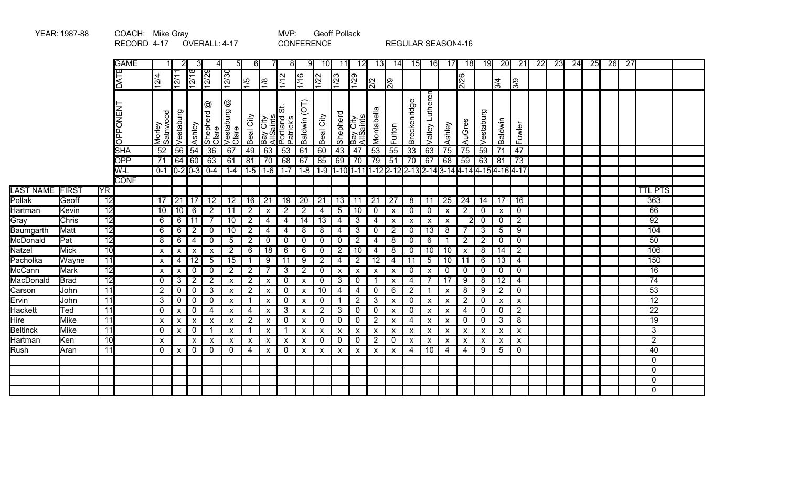|                       | YEAR: 1987-88                                                       |                       | COACH: Mike Gray |                           | <b>Geoff Pollack</b>      |                           |                                  |                           |                                  |                                     |                                  |                           |                                   |                |                           |                           |                                |                                                        |                                              |                           |                                  |                |                                |                               |                 |  |  |  |  |  |                       |  |
|-----------------------|---------------------------------------------------------------------|-----------------------|------------------|---------------------------|---------------------------|---------------------------|----------------------------------|---------------------------|----------------------------------|-------------------------------------|----------------------------------|---------------------------|-----------------------------------|----------------|---------------------------|---------------------------|--------------------------------|--------------------------------------------------------|----------------------------------------------|---------------------------|----------------------------------|----------------|--------------------------------|-------------------------------|-----------------|--|--|--|--|--|-----------------------|--|
|                       | RECORD 4-17<br>OVERALL: 4-17<br><b>CONFERENCE</b><br>$6 \mid$<br>81 |                       |                  |                           |                           |                           |                                  |                           |                                  |                                     |                                  |                           |                                   |                |                           |                           |                                | REGULAR SEASON4-16                                     |                                              |                           |                                  |                |                                |                               |                 |  |  |  |  |  |                       |  |
|                       |                                                                     |                       | <b>GAME</b>      | 3                         |                           | 5                         | 91                               | <b>10</b>                 | 11                               | 12                                  | 13                               | 14I                       | - 15I                             | 16             | 17                        | 18                        | 19                             | $\overline{20}$                                        | $\overline{21}$                              | $\overline{22}$           | 23                               | 24             | 25                             | 26                            | $\overline{27}$ |  |  |  |  |  |                       |  |
|                       |                                                                     |                       | DATE             | 12/4                      | 12/11                     | 12/18                     | $\sqrt{2/29}$                    | $\sqrt{273}$              | 1/5                              | $\sqrt{8}$                          | $\sqrt{1/2}$                     | $\frac{1}{16}$            | $\frac{1}{22}$                    | 1/23           | $\overline{1/29}$         | $\frac{2}{2}$             | $\frac{1}{2}$                  |                                                        |                                              |                           | 2/26                             |                | 3/4                            | $\frac{1}{3}$                 |                 |  |  |  |  |  |                       |  |
|                       |                                                                     |                       | OPPONENT         | Morley<br>Satnwood        | Vestaburg                 | Ashley                    | ဇ<br>Shepherd<br>Clare           | ☺<br>Clare<br>Clare       | Beal City                        | Bay City<br>AllSaints<br>Portland 9 | lഗ<br>ဖာ<br>Patrick's            | $\overline{C}$<br>Baldwin | Beal City                         | Shepherd       | Bay City<br>AllSaints     | Montabella                | Fulton                         | Breckenridge                                           | Valley Lutheren                              | Ashley                    | AuGres                           | Vestaburg      | Baldwin                        | Fowler                        |                 |  |  |  |  |  |                       |  |
|                       |                                                                     |                       | SHA              | 52                        | 56                        | 54                        | $\overline{36}$                  | 67                        | 49                               | 63                                  | 53                               | 61                        | 60                                | 43             | 47                        | $\overline{53}$           | $\overline{55}$                | 33                                                     | 63                                           | $\overline{75}$           | 75                               | 59             | 71                             | 47                            |                 |  |  |  |  |  |                       |  |
|                       |                                                                     |                       | <b>OPP</b>       | 71                        | 64                        | 60                        | 63                               | 61                        | 81                               | 70                                  | 68                               | 67                        | 85                                | 69             | 70                        | $\overline{79}$           | 51                             | 70                                                     | 67                                           | 68                        | $\overline{59}$                  | 63             | 81                             | $\overline{73}$               |                 |  |  |  |  |  |                       |  |
|                       |                                                                     |                       | W-L              |                           |                           |                           | $0-1$ $0-2$ $0-3$ $0-4$          | $1 - 4$                   | $1-5$                            |                                     | $1-6$ 1-7 1-8                    |                           | $1-9$                             |                |                           |                           |                                | 1-10 1-11 1-12 2-12 2-13 2-14 3-14 4-14 4-15 4-16 4-17 |                                              |                           |                                  |                |                                |                               |                 |  |  |  |  |  |                       |  |
|                       |                                                                     |                       | <b>CONF</b>      |                           |                           |                           |                                  |                           |                                  |                                     |                                  |                           |                                   |                |                           |                           |                                |                                                        |                                              |                           |                                  |                |                                |                               |                 |  |  |  |  |  |                       |  |
| <b>LAST NAME</b>      | FIRST                                                               | <b>YR</b>             |                  |                           |                           |                           |                                  |                           |                                  |                                     |                                  |                           |                                   |                |                           |                           |                                |                                                        |                                              |                           |                                  |                |                                |                               |                 |  |  |  |  |  | <b>TTL PTS</b>        |  |
| Pollak                | Geoff                                                               | 12                    |                  | 17                        | 21                        | 17                        | 12                               | 12                        | 16                               | 21                                  | 19                               | 20                        | 21                                | 13             | 11                        | 21                        | 27                             | 8                                                      | 11                                           | 25                        | 24                               | 14             | 17                             | 16                            |                 |  |  |  |  |  | 363                   |  |
| Hartman               | Kevin<br>Chris                                                      | 12<br>$\overline{12}$ |                  | 10<br>6                   | 10                        | 6<br>$\overline{11}$      | $\overline{2}$<br>$\overline{7}$ | 11<br>10                  | $\overline{2}$<br>$\overline{2}$ | X                                   | $\overline{2}$<br>$\overline{4}$ | $\overline{2}$            | $\overline{4}$<br>$\overline{13}$ | 5              | 10                        | $\mathbf 0$               | $\pmb{\mathsf{X}}$             | $\overline{0}$                                         | $\mathbf 0$                                  | X                         | $\overline{2}$<br>$\overline{2}$ | 0<br>0         | $\boldsymbol{\mathsf{x}}$      | $\mathbf 0$<br>$\overline{2}$ |                 |  |  |  |  |  | 66<br>$\overline{92}$ |  |
| Gray                  | <b>Matt</b>                                                         | 12                    |                  | 6                         | 6<br>6                    | $\overline{2}$            | $\mathbf{0}$                     | 10                        | $\overline{2}$                   | $\overline{4}$                      | 4                                | 14<br>8                   | 8                                 | 4              | 3<br>3                    | 4                         | $\boldsymbol{\mathsf{X}}$<br>2 | $\boldsymbol{\mathsf{x}}$<br>$\overline{0}$            | $\boldsymbol{\mathsf{x}}$<br>$\overline{13}$ | $\mathsf{x}$<br>8         |                                  | 3 <sup>1</sup> | $\mathbf 0$<br>$5\phantom{.0}$ | 9                             |                 |  |  |  |  |  | 104                   |  |
| Baumgarth<br>McDonald | Pat                                                                 | $\overline{12}$       |                  | 8                         | 6                         | $\overline{4}$            | $\Omega$                         | $5\phantom{.0}$           | $2^{\circ}$                      | 4<br>0                              | $\Omega$                         | $\Omega$                  | $\mathbf{0}$                      | 4<br>$\Omega$  | $\overline{2}$            | $\mathbf 0$<br>4          | 8                              | $\mathbf 0$                                            | $\overline{6}$                               | 1                         | $\overline{2}$                   | 2 <sup>1</sup> | $\mathbf 0$                    | $\mathbf{0}$                  |                 |  |  |  |  |  | 50                    |  |
| Natzel                | <b>Mick</b>                                                         | 10                    |                  | $\boldsymbol{\mathsf{x}}$ |                           |                           |                                  | $\overline{2}$            | 6                                | 18                                  | 6                                | 6                         | 0                                 | $\overline{2}$ | 10                        | $\overline{4}$            | 8                              | $\overline{0}$                                         | 10                                           | 10                        | $\boldsymbol{\mathsf{x}}$        | 8              | 14                             | $\overline{2}$                |                 |  |  |  |  |  | 106                   |  |
| Pacholka              | Wayne                                                               | 11                    |                  | $\mathsf{x}$              | X<br>4                    | x<br>$\overline{12}$      | X<br>5                           | 15                        | 1                                | 9                                   | 11                               | 9                         | $\overline{2}$                    | 4              | $\overline{2}$            | 12                        | $\overline{4}$                 | 11                                                     | 5                                            | 10                        | 11                               | 6              | 13                             | 4                             |                 |  |  |  |  |  | 150                   |  |
| McCann                | Mark                                                                | 12                    |                  | $\boldsymbol{\mathsf{x}}$ | X                         | 0                         | 0                                | $\overline{2}$            | $2^{\circ}$                      | 7                                   | 3                                | 2                         | $\Omega$                          | X              | $\boldsymbol{\mathsf{x}}$ | $\pmb{\mathsf{x}}$        | $\pmb{\mathsf{X}}$             | $\overline{0}$                                         | $\pmb{\mathsf{X}}$                           | $\mathbf 0$               | $\mathbf 0$                      | 0              | $\mathbf 0$                    | $\mathbf 0$                   |                 |  |  |  |  |  | $\overline{16}$       |  |
| MacDonald             | <b>Brad</b>                                                         | $\overline{12}$       |                  | $\mathbf{0}$              | 3                         | $\overline{2}$            | $\sqrt{2}$                       | $\boldsymbol{\mathsf{x}}$ | $\overline{2}$                   | $\boldsymbol{\mathsf{x}}$           | $\mathbf{0}$                     | X                         | $\Omega$                          | 3              | $\mathbf 0$               | -1                        | $\pmb{\mathsf{X}}$             | 4                                                      | $\overline{7}$                               | 17                        | 9                                | 8              | 12                             | 4                             |                 |  |  |  |  |  | 74                    |  |
| Carson                | John                                                                | 11                    |                  | $\overline{2}$            | 0                         | 0                         | 3                                | $\boldsymbol{\mathsf{x}}$ | $\overline{2}$                   | X                                   | 0                                | X                         | 10                                | 4              | $\overline{4}$            | $\mathbf 0$               | 6                              | $\overline{2}$                                         | 1                                            | $\boldsymbol{\mathsf{X}}$ | 8                                | 9              | $\overline{2}$                 | $\mathbf 0$                   |                 |  |  |  |  |  | $\overline{53}$       |  |
| Ervin                 | John                                                                | 11                    |                  | 3                         | 0                         | $\mathbf 0$               | 0                                | $\boldsymbol{\mathsf{x}}$ | -1                               | $\boldsymbol{\mathsf{x}}$           | $\mathbf{0}$                     | X                         | $\mathbf 0$                       |                | $\overline{2}$            | 3                         | X                              | $\mathbf 0$                                            | $\boldsymbol{\mathsf{x}}$                    | $\pmb{\mathsf{X}}$        | 2                                | 0              | $\boldsymbol{\mathsf{x}}$      | $\boldsymbol{\mathsf{X}}$     |                 |  |  |  |  |  | $\overline{12}$       |  |
| <b>Hackett</b>        | Ted                                                                 | 11                    |                  | 0                         | $\pmb{\mathsf{x}}$        | 0                         | 4                                | $\boldsymbol{\mathsf{x}}$ | 4                                | $\boldsymbol{\mathsf{x}}$           | 3                                | X                         | $\overline{2}$                    | 3              | $\overline{0}$            | $\mathbf 0$               | $\pmb{\mathsf{X}}$             | $\mathbf 0$                                            | X                                            | $\boldsymbol{\mathsf{X}}$ | 4                                | 0              | $\mathbf 0$                    | $\overline{2}$                |                 |  |  |  |  |  | $\overline{22}$       |  |
| Hire                  | <b>Mike</b>                                                         | 11                    |                  | $\boldsymbol{\mathsf{X}}$ | $\boldsymbol{\mathsf{x}}$ | $\boldsymbol{\mathsf{x}}$ | X                                | $\boldsymbol{\mathsf{x}}$ | $\overline{2}$                   | $\boldsymbol{\mathsf{x}}$           | 0                                | X                         | $\mathbf 0$                       | $\mathbf{0}$   | $\mathbf 0$               | $\overline{2}$            | X                              | 4                                                      | $\boldsymbol{\mathsf{x}}$                    | $\pmb{\mathsf{X}}$        | 0                                | 0              | $\mathbf{3}$                   | 8                             |                 |  |  |  |  |  | 19                    |  |
| Beltinck              | <b>Mike</b>                                                         | 11                    |                  | $\mathbf 0$               | $\boldsymbol{\mathsf{x}}$ | $\mathbf 0$               | -1                               | $\boldsymbol{\mathsf{x}}$ | 1                                | $\mathsf{x}$                        | $\mathbf 1$                      | X                         | $\boldsymbol{\mathsf{x}}$         | X              | $\boldsymbol{\mathsf{x}}$ | $\boldsymbol{\mathsf{X}}$ | X                              | $\pmb{\mathsf{X}}$                                     | $\mathsf{x}$                                 | $\mathsf{x}$              | X                                | X              | $\boldsymbol{\mathsf{x}}$      | $\boldsymbol{\mathsf{x}}$     |                 |  |  |  |  |  | 3                     |  |
| Hartman               | Ken                                                                 | 10                    |                  | $\boldsymbol{\mathsf{x}}$ |                           | X                         | $\boldsymbol{\mathsf{x}}$        | X                         | X                                | X                                   | X                                | X                         | 0                                 | 0              | $\mathbf 0$               | $\overline{2}$            | 0                              | $\pmb{\mathsf{X}}$                                     | $\boldsymbol{\mathsf{x}}$                    | $\boldsymbol{\mathsf{X}}$ | X                                | X              | $\pmb{\mathsf{X}}$             | $\pmb{\mathsf{X}}$            |                 |  |  |  |  |  | $\overline{2}$        |  |
| Rush                  | Aran                                                                | 11                    |                  | $\mathbf{0}$              | $\boldsymbol{\mathsf{x}}$ | $\mathbf 0$               | $\mathbf 0$                      | $\mathbf 0$               | 4                                | $\boldsymbol{\mathsf{x}}$           | $\mathbf 0$                      | $\boldsymbol{\mathsf{x}}$ | $\boldsymbol{\mathsf{x}}$         | X              | $\boldsymbol{\mathsf{x}}$ | $\boldsymbol{\mathsf{x}}$ | $\pmb{\chi}$                   | $\overline{4}$                                         | $\overline{10}$                              | 4                         | $\overline{4}$                   | $\overline{9}$ | $\overline{5}$                 | $\mathbf 0$                   |                 |  |  |  |  |  | 40                    |  |
|                       |                                                                     |                       |                  |                           |                           |                           |                                  |                           |                                  |                                     |                                  |                           |                                   |                |                           |                           |                                |                                                        |                                              |                           |                                  |                |                                |                               |                 |  |  |  |  |  | $\mathbf{0}$          |  |
|                       |                                                                     |                       |                  |                           |                           |                           |                                  |                           |                                  |                                     |                                  |                           |                                   |                |                           |                           |                                |                                                        |                                              |                           |                                  |                |                                |                               |                 |  |  |  |  |  | $\Omega$              |  |
|                       |                                                                     |                       |                  |                           |                           |                           |                                  |                           |                                  |                                     |                                  |                           |                                   |                |                           |                           |                                |                                                        |                                              |                           |                                  |                |                                |                               |                 |  |  |  |  |  | $\mathbf{0}$          |  |
|                       |                                                                     |                       |                  |                           |                           |                           |                                  |                           |                                  |                                     |                                  |                           |                                   |                |                           |                           |                                |                                                        |                                              |                           |                                  |                |                                |                               |                 |  |  |  |  |  | $\mathbf{0}$          |  |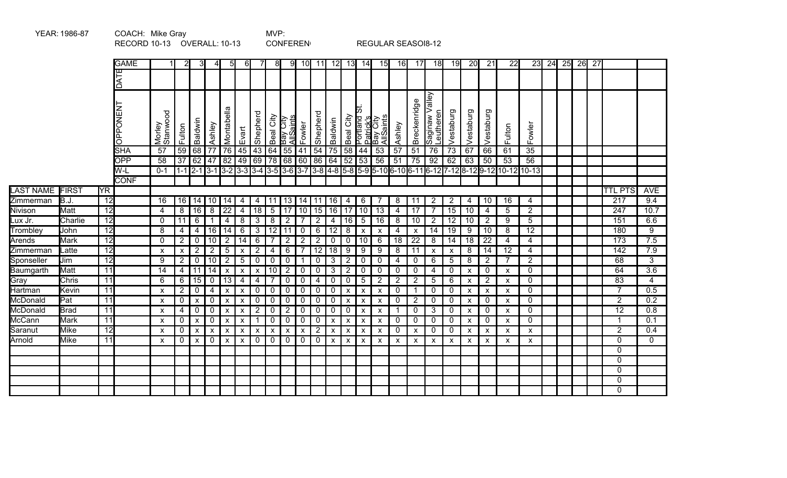|            |             |                        | RECORD 10-13 OVERALL: 10-13 |                           |                           |                           |                       |                                    |                           |                           |                | <b>CONFEREN</b>                        |                           |                 |                    |                    |                           | REGULAR SEASOI8-12                                      |                 |                 |                             |                 |                           |                           |                                                                                                                       |                 |       |    |    |    |                  |                  |
|------------|-------------|------------------------|-----------------------------|---------------------------|---------------------------|---------------------------|-----------------------|------------------------------------|---------------------------|---------------------------|----------------|----------------------------------------|---------------------------|-----------------|--------------------|--------------------|---------------------------|---------------------------------------------------------|-----------------|-----------------|-----------------------------|-----------------|---------------------------|---------------------------|-----------------------------------------------------------------------------------------------------------------------|-----------------|-------|----|----|----|------------------|------------------|
|            |             |                        | <b>GAME</b>                 |                           |                           | 31                        | 4                     | 51                                 | 6                         |                           | 8 <sup>1</sup> |                                        | $9$ 10                    | 11              | 12                 | 13                 | 14                        | 15                                                      | 16              | 17              | 18                          | 19              | 20                        | 21                        | 22                                                                                                                    |                 | 23 24 | 25 | 26 | 27 |                  |                  |
|            |             |                        | DATE                        |                           |                           |                           |                       |                                    |                           |                           |                |                                        |                           |                 |                    |                    |                           |                                                         |                 |                 |                             |                 |                           |                           |                                                                                                                       |                 |       |    |    |    |                  |                  |
|            |             |                        | <b>OPPONENT</b>             | Morley<br>Stanwood        | Fulton                    | Baldwin                   | Ashley                | $\frac{a}{a}$<br>Montabe           | Evart                     | Shepherd                  | Beal City      | Bay City<br>AllSaints<br>$\frac{1}{2}$ | Fowler                    | Shepherd        | Baldwin            | Beal City          |                           | Portland <b>:</b><br>Patrick's<br>Bay City<br>AllSaints | Ashley          | Breckenridge    | Saginaw Valley<br>Leutheren | Vestaburg       | Vestaburg                 | Vestaburg                 | Fulton                                                                                                                | Fowler          |       |    |    |    |                  |                  |
|            |             |                        | <b>SHA</b>                  | $\overline{57}$           | 59                        | 68<br>62                  | $\overline{77}$<br>47 | $\overline{76}$<br>$\overline{82}$ | $\overline{45}$           | $\overline{43}$           | 64             | 55<br>78 68                            | 41                        | 54              | $\overline{75}$    | 58                 | 44                        | 53                                                      | $\overline{57}$ | 51              | $\overline{76}$             | $\overline{73}$ | 67                        | 66                        | 61                                                                                                                    | 35              |       |    |    |    |                  |                  |
|            |             |                        | <b>OPP</b><br>W-L           | 58<br>$0 - 1$             | $\overline{37}$           |                           |                       |                                    | $\sqrt{49}$               | 69                        |                |                                        | $\overline{60}$           | 86              | 64                 | $\overline{52}$    | 53                        | 56                                                      | $\overline{51}$ | $\overline{75}$ | 92                          | 62              | 63                        | 50                        | $\overline{53}$<br>1-1 2-1 3-1 3-2 3-3 3-4 3-5 3-6 3-7 3-8 4-8 5-8 5-9 5-10 6-10 6-11 6-12 7-12 8-12 9-12 10-12 10-13 | 56              |       |    |    |    |                  |                  |
|            |             |                        | <b>CONF</b>                 |                           |                           |                           |                       |                                    |                           |                           |                |                                        |                           |                 |                    |                    |                           |                                                         |                 |                 |                             |                 |                           |                           |                                                                                                                       |                 |       |    |    |    |                  |                  |
| LAST NAME  | FIRST       | $\overline{\text{YR}}$ |                             |                           |                           |                           |                       |                                    |                           |                           |                |                                        |                           |                 |                    |                    |                           |                                                         |                 |                 |                             |                 |                           |                           |                                                                                                                       |                 |       |    |    |    | <b>TTL PTS</b>   | <b>AVE</b>       |
| Zimmerman  | B.J         | 12                     |                             | 16                        | 16                        | 14                        | 10                    | 14                                 | 4                         | 4                         | 11             | 13                                     | 14                        | 11              | 16                 | 4                  | 6                         | $\overline{7}$                                          | 8               | 11              | $\overline{2}$              | $\overline{2}$  | 4                         | 10                        | 16                                                                                                                    | 4               |       |    |    |    | $\overline{217}$ | 9.4              |
| Nivison    | Matt        | $\overline{12}$        |                             | 4                         | 8                         | 16                        | 8                     | 22                                 | 4                         | 18                        | 5              | 17                                     | 10                        | 15              | $\overline{16}$    | 17                 | 10                        | 13                                                      | 4               | 17              | $\overline{7}$              | $\overline{15}$ | 10                        | 4                         | 5                                                                                                                     | $\overline{2}$  |       |    |    |    | 247              | 10.7             |
| ∟ux Jr.    | Charlie     | $\overline{12}$        |                             | 0                         | $\overline{11}$           | 6                         | $\mathbf{1}$          | 4                                  | 8                         | 3                         | 8              | $\overline{2}$                         | -7                        | $\overline{2}$  | 4                  | 16                 | $5\phantom{.0}$           | 16                                                      | 8               | 10              | $\overline{2}$              | $\overline{12}$ | 10                        | $\overline{2}$            | 9                                                                                                                     | $\overline{5}$  |       |    |    |    | 151              | 6.6              |
| Trombley   | John        | $\overline{12}$        |                             | 8                         | $\overline{4}$            | $\overline{4}$            | 16                    | 14                                 | 6                         | $\sqrt{3}$                | 12             | 11                                     | $\overline{0}$            | $\,6$           | $\overline{12}$    | 8                  | $\pmb{\times}$            | $\pmb{\mathsf{X}}$                                      | 4               | X               | 14                          | $\overline{19}$ | 9                         | 10                        | 8                                                                                                                     | $\overline{12}$ |       |    |    |    | 180              | 9                |
| Arends     | <b>Mark</b> | $\overline{12}$        |                             | $\mathbf{0}$              | $\overline{2}$            | 0                         | 10                    | $\overline{2}$                     | 14                        | 6                         | $\overline{7}$ | $\overline{2}$                         | $\overline{2}$            | $\overline{2}$  | 0                  | $\mathbf 0$        | $\overline{10}$           | 6                                                       | $\overline{18}$ | $\overline{22}$ | 8                           | $\overline{14}$ | $\overline{18}$           | $\overline{22}$           | 4                                                                                                                     | 4               |       |    |    |    | 173              | 7.5              |
| Zimmerman  | Latte       | $\overline{12}$        |                             | X                         | $\boldsymbol{\mathsf{x}}$ | $\overline{2}$            | $\overline{2}$        | 5                                  | $\boldsymbol{\mathsf{x}}$ | $\overline{2}$            | 4              | 6                                      | $\overline{7}$            | $\overline{12}$ | 18                 | 9                  | 9                         | 9                                                       | 8               | 11              | $\pmb{\mathsf{X}}$          | $\pmb{\times}$  | 8                         | 14                        | 12                                                                                                                    | 4               |       |    |    |    | 142              | 7.9              |
| Sponseller | Jim         | 12                     |                             | 9                         | $\overline{2}$            | $\mathbf 0$               | 10                    | $\overline{2}$                     | 5                         | $\mathbf 0$               | 0              | $\mathbf 0$                            | -1                        | $\mathbf 0$     | $\overline{3}$     | $\overline{2}$     | $\mathbf 0$               | $\mathbf 0$                                             | $\overline{4}$  | $\mathbf 0$     | 6                           | $5\phantom{.0}$ | 8                         | $\overline{2}$            | $\overline{7}$                                                                                                        | $\overline{2}$  |       |    |    |    | 68               | $\overline{3}$   |
| Baumgarth  | Matt        | 11                     |                             | 14                        | $\overline{4}$            | 11                        | 14                    | X                                  | $\boldsymbol{\mathsf{x}}$ | $\boldsymbol{\mathsf{x}}$ | 10             | $\overline{2}$                         | $\mathbf 0$               | $\pmb{0}$       | 3                  | $\sqrt{2}$         | $\mathbf 0$               | $\mathbf 0$                                             | 0               | 0               | 4                           | $\pmb{0}$       | $\pmb{\mathsf{x}}$        | $\mathbf 0$               | $\boldsymbol{\mathsf{x}}$                                                                                             | 0               |       |    |    |    | 64               | 3.6              |
| Gray       | Chris       | 11                     |                             | 6                         | 6                         | $\overline{15}$           | $\mathbf 0$           | $\overline{13}$                    | $\overline{4}$            | 4                         | $\overline{7}$ | $\mathbf 0$                            | $\mathbf 0$               | $\overline{4}$  | $\pmb{0}$          | $\mathbf 0$        | $\sqrt{5}$                | $\overline{2}$                                          | $\overline{2}$  | $\overline{2}$  | 5                           | $6\phantom{1}6$ | $\pmb{\mathsf{x}}$        | $\overline{2}$            | $\pmb{\mathsf{X}}$                                                                                                    | $\mathbf 0$     |       |    |    |    | 83               | $\overline{4}$   |
| Hartman    | Kevin       | 11                     |                             | $\boldsymbol{\mathsf{x}}$ | $\overline{2}$            | $\mathbf 0$               | 4                     | $\boldsymbol{\mathsf{x}}$          | $\boldsymbol{\mathsf{x}}$ | $\mathbf 0$               | 0              | $\mathbf 0$                            | $\mathbf 0$               | $\pmb{0}$       | $\pmb{0}$          | $\pmb{\times}$     | $\pmb{\mathsf{X}}$        | $\boldsymbol{\mathsf{x}}$                               | $\mathbf 0$     | $\mathbf{1}$    | $\mathbf 0$                 | $\overline{0}$  | $\pmb{\chi}$              | $\boldsymbol{\mathsf{x}}$ | $\pmb{\chi}$                                                                                                          | $\mathbf 0$     |       |    |    |    | $\overline{7}$   | 0.5              |
| McDonald   | Pat         | 11                     |                             | X                         | $\mathbf 0$               | $\boldsymbol{\mathsf{x}}$ | $\mathbf 0$           | X                                  | $\boldsymbol{\mathsf{x}}$ | $\mathbf 0$               | 0              | $\mathbf 0$                            | $\overline{0}$            | $\pmb{0}$       | 0                  | $\pmb{\mathsf{x}}$ | $\pmb{\mathsf{X}}$        | $\pmb{\mathsf{x}}$                                      | $\mathbf 0$     | $\overline{2}$  | $\pmb{0}$                   | $\mathbf 0$     | $\boldsymbol{\mathsf{x}}$ | $\mathbf 0$               | $\boldsymbol{\mathsf{X}}$                                                                                             | $\mathbf 0$     |       |    |    |    | $\overline{2}$   | $\overline{0.2}$ |
| McDonald   | <b>Brad</b> | 11                     |                             | X                         | 4                         | 0                         | $\mathbf 0$           | X                                  | X                         | 2                         | 0              | $\overline{2}$                         | $\mathbf 0$               | $\mathbf 0$     | 0                  | $\mathbf 0$        | $\pmb{\mathsf{X}}$        | $\boldsymbol{\mathsf{x}}$                               | $\mathbf 1$     | $\mathbf 0$     | 3                           | $\mathbf 0$     | $\boldsymbol{\mathsf{x}}$ | 0                         | $\boldsymbol{\mathsf{x}}$                                                                                             | $\mathbf 0$     |       |    |    |    | $\overline{12}$  | 0.8              |
| McCann     | Mark        | $\overline{11}$        |                             | X                         | $\mathbf 0$               | $\boldsymbol{\mathsf{x}}$ | 0                     | X                                  | X                         | -1                        | 0              | $\mathbf 0$                            | $\mathbf 0$               | $\mathbf 0$     | X                  | X                  | $\boldsymbol{\mathsf{x}}$ | $\boldsymbol{\mathsf{x}}$                               | $\mathbf 0$     | $\mathbf 0$     | $\mathbf 0$                 | $\mathbf 0$     | $\boldsymbol{\mathsf{x}}$ | $\mathbf 0$               | $\boldsymbol{\mathsf{x}}$                                                                                             | $\mathbf 0$     |       |    |    |    | -1               | 0.1              |
| Saranut    | <b>Mike</b> | $\overline{12}$        |                             | X                         | $\mathbf 0$               | $\boldsymbol{\mathsf{x}}$ | $\pmb{\mathsf{X}}$    | $\pmb{\mathsf{x}}$                 | $\pmb{\times}$            | $\pmb{\mathsf{x}}$        | X              | $\boldsymbol{\mathsf{x}}$              | $\boldsymbol{\mathsf{x}}$ | $\overline{2}$  | $\pmb{\mathsf{X}}$ | $\pmb{\mathsf{x}}$ | $\pmb{\mathsf{X}}$        | $\pmb{\mathsf{X}}$                                      | 0               | X               | $\mathbf 0$                 | $\mathbf 0$     | $\pmb{\chi}$              | $\pmb{\mathsf{X}}$        | $\boldsymbol{\mathsf{X}}$                                                                                             | X               |       |    |    |    | $\overline{2}$   | 0.4              |
| Arnold     | <b>Mike</b> | $\overline{11}$        |                             | $\boldsymbol{\mathsf{x}}$ | $\mathbf 0$               | X                         | 0                     | X                                  | X                         | $\mathbf{0}$              | $\mathbf{0}$   | $\mathbf{0}$                           | $\mathbf 0$               | $\mathbf 0$     | $\mathsf{x}$       | X                  | $\boldsymbol{\mathsf{X}}$ | $\boldsymbol{\mathsf{x}}$                               | X               | X               | $\boldsymbol{\mathsf{x}}$   | X               | X                         | X                         | x                                                                                                                     | X               |       |    |    |    | $\mathbf{0}$     | $\mathbf{0}$     |
|            |             |                        |                             |                           |                           |                           |                       |                                    |                           |                           |                |                                        |                           |                 |                    |                    |                           |                                                         |                 |                 |                             |                 |                           |                           |                                                                                                                       |                 |       |    |    |    | $\Omega$         |                  |
|            |             |                        |                             |                           |                           |                           |                       |                                    |                           |                           |                |                                        |                           |                 |                    |                    |                           |                                                         |                 |                 |                             |                 |                           |                           |                                                                                                                       |                 |       |    |    |    | $\mathbf 0$      |                  |
|            |             |                        |                             |                           |                           |                           |                       |                                    |                           |                           |                |                                        |                           |                 |                    |                    |                           |                                                         |                 |                 |                             |                 |                           |                           |                                                                                                                       |                 |       |    |    |    | $\mathbf 0$      |                  |
|            |             |                        |                             |                           |                           |                           |                       |                                    |                           |                           |                |                                        |                           |                 |                    |                    |                           |                                                         |                 |                 |                             |                 |                           |                           |                                                                                                                       |                 |       |    |    |    | $\mathbf 0$      |                  |
|            |             |                        |                             |                           |                           |                           |                       |                                    |                           |                           |                |                                        |                           |                 |                    |                    |                           |                                                         |                 |                 |                             |                 |                           |                           |                                                                                                                       |                 |       |    |    |    | $\Omega$         |                  |

YEAR: 1986-87 COACH: Mike Gray COACH: MVP: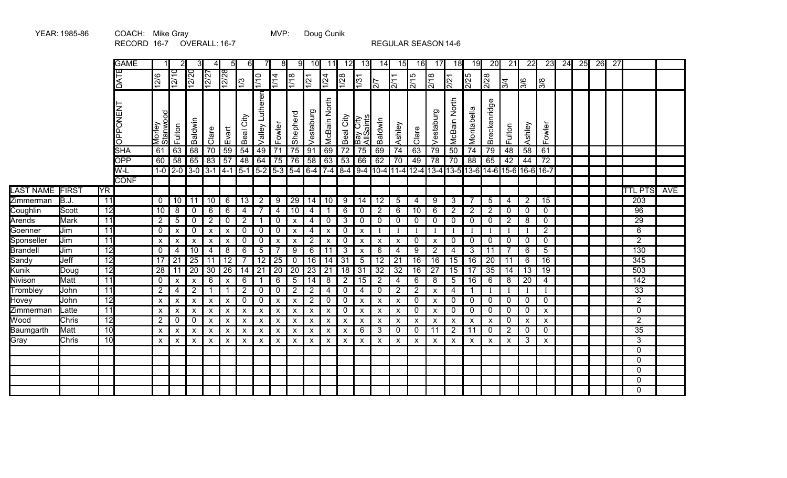|                    |              |                 | <b>GAME</b>     |                           | 2                                 | 3                         | Δ                                 | 5                         | 61                        |                    | 81                        | 9                         | 10 <sup>l</sup>           | 11                        | 12              | 13                        | 14                        | 15                         | 16                        | 17                 | 18                  | 19                        | 20                                 | 21               | 22              | 23              | 24 | 25 | 26 | 27 |                  |            |
|--------------------|--------------|-----------------|-----------------|---------------------------|-----------------------------------|---------------------------|-----------------------------------|---------------------------|---------------------------|--------------------|---------------------------|---------------------------|---------------------------|---------------------------|-----------------|---------------------------|---------------------------|----------------------------|---------------------------|--------------------|---------------------|---------------------------|------------------------------------|------------------|-----------------|-----------------|----|----|----|----|------------------|------------|
|                    |              |                 | DATE            | $\frac{126}{2}$           | $\overline{10}$<br>$\overline{2}$ | $\overline{S}$<br> ی      | $\overline{27}$<br>$\overline{2}$ | 87<br>$\overline{2}$      | 1/3                       | 1/10               | 1/14                      | $\sqrt{1/18}$             | $\frac{1}{21}$            | 1/24                      | $\frac{1}{28}$  | $\sqrt{31}$               | $\overline{27}$           | 2/11                       | 2/15                      | 2/18               | 2/21                | 2/25                      | 2/28                               | $\overline{3/4}$ | $\frac{8}{3}$   | $\sqrt{8}$      |    |    |    |    |                  |            |
|                    |              |                 | <b>LN3NOddO</b> | g<br>Morley<br>Stanwo     | Fulton                            | Baldwin                   | Clare                             | Evart                     | City<br>Beal              | Lutheren<br>Valley | Fowler                    | Shepherd                  | Vestaburg                 | McBain North              | Beal City       | Bay City<br>AllSaints     | Baldwin                   | Ashley                     | Clare                     | Vestaburg          | McBain North        | Montabella                | Breckenridge                       | Fulton           | Ashley          | Fowler          |    |    |    |    |                  |            |
|                    |              |                 | <b>SHA</b>      | 61                        | 63                                | 68                        | 70                                | 59                        | 54                        | 49                 | $\overline{71}$           | 75                        | $\overline{91}$           | 69                        | $\overline{72}$ | 75                        | 69                        | 74                         | 63                        | 79                 | 50                  | $\overline{74}$           | 79                                 | 48               | 58              | 61              |    |    |    |    |                  |            |
|                    |              |                 | <b>OPP</b>      | 60                        | 58                                | 65                        | $\overline{83}$                   | $\overline{57}$           | 48                        | 64                 | 75                        | 76                        | 58                        | 63                        | $\overline{53}$ | 66                        | 62                        | 70                         | 49                        | 78                 | $\overline{70}$     | 88                        | 65                                 | 42               | $\overline{44}$ | $\overline{72}$ |    |    |    |    |                  |            |
|                    |              |                 | W-L             |                           | $1 - 0$ 2-0                       |                           | $3 - 0$ 3-1                       | $14-1$                    |                           | $5-1$ 5-2 5-3      |                           | $5-4$                     | $6 - 4$                   | $\sqrt{7-4}$              | $8 - 4$         |                           |                           | $9-4$   10-4   11-4   12-4 |                           |                    |                     |                           | 13-4 13-5 13-6 14-6 15-6 16-6 16-7 |                  |                 |                 |    |    |    |    |                  |            |
| <b>LAST NAME</b>   | <b>FIRST</b> | <b>YR</b>       | <b>CONF</b>     |                           |                                   |                           |                                   |                           |                           |                    |                           |                           |                           |                           |                 |                           |                           |                            |                           |                    |                     |                           |                                    |                  |                 |                 |    |    |    |    | <b>TTL PTS</b>   | <b>AVE</b> |
|                    | B.J.         | 11              |                 | $\mathbf{0}$              | 10                                | 11                        | 10                                | 6                         | 13                        | 2                  | 9                         | 29                        |                           | 10                        |                 | 14                        | 12                        | $5\overline{)}$            |                           | 9                  |                     | $\overline{7}$            | 5                                  |                  | $\overline{2}$  | 15              |    |    |    |    | 203              |            |
| Zimmerman          | Scott        | $\overline{12}$ |                 | 10                        | 8                                 |                           | 6                                 | 6                         | 4                         | $\overline{7}$     | 4                         | 10                        | 14                        | $\mathbf{1}$              | 9<br>6          |                           | $\overline{2}$            | 6                          | 4<br>10                   | 6                  | 3<br>$\overline{2}$ | $\overline{2}$            | $\overline{2}$                     | 4<br>0           | $\mathbf 0$     | 0               |    |    |    |    | 96               |            |
| Coughlin<br>Arends | <b>Mark</b>  | 11              |                 | $\overline{2}$            | 5                                 | 0<br>$\mathbf 0$          | $\overline{2}$                    | $\pmb{0}$                 | $\overline{2}$            |                    | 0                         | X                         | $\overline{4}$<br>4       | 0                         | $\mathbf{3}$    | 0<br>0                    | 0                         | 0                          | 0                         | 0                  | 0                   | 0                         | $\mathbf 0$                        | $\overline{2}$   | 8               | $\mathbf 0$     |    |    |    |    | $\overline{29}$  |            |
| Goenner            | Jim          | 11              |                 | $\mathbf{0}$              | X                                 | 0                         | $\boldsymbol{\mathsf{x}}$         | $\boldsymbol{\mathsf{x}}$ | 0                         | 0                  | 0                         | X                         | 4                         | $\boldsymbol{\mathsf{x}}$ | 0               | $\boldsymbol{\mathsf{x}}$ |                           |                            |                           |                    |                     |                           |                                    |                  | T               | $\overline{2}$  |    |    |    |    | 6                |            |
| Sponseller         | Jim          | $\overline{11}$ |                 | $\boldsymbol{\mathsf{x}}$ | X                                 | $\boldsymbol{\mathsf{x}}$ | $\pmb{\times}$                    | $\boldsymbol{\mathsf{x}}$ | 0                         | $\mathbf 0$        | X                         | X                         | $\overline{2}$            | $\pmb{\chi}$              | 0               | X                         | $\boldsymbol{\mathsf{X}}$ | $\mathsf{x}$               | 0                         | $\mathsf{x}$       | 0                   | 0                         | $\mathbf 0$                        | 0                | $\mathbf 0$     | $\mathbf 0$     |    |    |    |    | $\overline{2}$   |            |
| Brandell           | Jim          | $\overline{12}$ |                 | $\mathbf{0}$              | $\overline{4}$                    | 10                        | 4                                 | 8                         | 6                         | 5                  | 7                         | 9                         | $\,6\,$                   | 11                        | $\mathsf 3$     | X                         | 6                         | 4                          | 9                         | $\overline{2}$     | 4                   | 3                         | 11                                 | $\overline{7}$   | 6               | 5               |    |    |    |    | 130              |            |
| Sandy              | Jeff         | 12              |                 | 17                        | 21                                | 25                        | 11                                | 12                        | 7                         | 12                 | 25                        | 0                         | 16                        | 14                        | 31              | $\sqrt{5}$                | 12 <sup>°</sup>           | 21                         | 16                        | 16                 | 15                  | 16                        | 20                                 | 11               | 6               | 16              |    |    |    |    | 345              |            |
| Kunik              | Doug         | 12              |                 | $\overline{28}$           | 11                                | $\overline{20}$           | 30                                | $\overline{26}$           | 14                        | 21                 | 20                        | 20                        | $\overline{23}$           | 21                        | 18              | 31                        | $\overline{32}$           | $\overline{32}$            | 16                        | $\overline{27}$    | 15                  | 17                        | 35                                 | 14               | 13              | 19              |    |    |    |    | $\overline{503}$ |            |
| Nivison            | Matt         | 11              |                 | 0                         | $\boldsymbol{\mathsf{x}}$         | $\boldsymbol{\mathsf{X}}$ | 6                                 | $\mathsf{x}$              | 6                         |                    | 6                         | 5                         | 14                        | 8                         | $\overline{2}$  | 15                        | $\overline{2}$            | $\overline{4}$             | 6                         | 8                  | 5                   | 16                        | 6                                  | 8                | 20              | 4               |    |    |    |    | 142              |            |
| Tromblev           | John         | 11              |                 | $\overline{2}$            | 4                                 | $\overline{2}$            | $\mathbf 1$                       |                           | $\overline{2}$            | $\Omega$           | 0                         | 2                         | $\overline{2}$            | 4                         | 0               | 4                         | $\mathbf 0$               | $\overline{2}$             | $\overline{2}$            | X                  | 4                   |                           |                                    |                  | Ι.              |                 |    |    |    |    | $\overline{33}$  |            |
| Hovey              | John         | $\overline{12}$ |                 | $\boldsymbol{\mathsf{x}}$ | X                                 | $\boldsymbol{\mathsf{X}}$ | X                                 | X                         | 0                         | 0                  | $\boldsymbol{\mathsf{x}}$ | X                         | $\overline{2}$            | 0                         | 0               | X                         | X                         | $\boldsymbol{\mathsf{x}}$  | 0                         | X                  | 0                   | 0                         | $\mathbf 0$                        | 0                | $\mathbf 0$     | 0               |    |    |    |    | $\overline{2}$   |            |
| Zimmerman          | Latte        | 11              |                 | $\boldsymbol{\mathsf{x}}$ | X                                 | $\boldsymbol{\mathsf{X}}$ | $\pmb{\mathsf{X}}$                | $\boldsymbol{\mathsf{x}}$ | $\mathsf{x}$              | X                  | $\boldsymbol{\mathsf{x}}$ | $\boldsymbol{\mathsf{x}}$ | $\pmb{\mathsf{X}}$        | $\pmb{\mathsf{X}}$        | 0               | $\boldsymbol{\mathsf{x}}$ | X                         | $\boldsymbol{\mathsf{x}}$  | 0                         | $\pmb{\mathsf{X}}$ | 0                   | 0                         | 0                                  | $\mathbf 0$      | $\mathbf 0$     | X               |    |    |    |    | 0                |            |
| Wood               | Chris        | 12              |                 | $\overline{2}$            | 0                                 | $\mathbf 0$               | $\boldsymbol{\mathsf{x}}$         | $\boldsymbol{\mathsf{x}}$ | $\boldsymbol{\mathsf{x}}$ | X                  | $\boldsymbol{\mathsf{x}}$ | $\boldsymbol{\mathsf{x}}$ | $\boldsymbol{\mathsf{x}}$ | $\boldsymbol{\mathsf{x}}$ | X               | $\boldsymbol{\mathsf{x}}$ | X                         | $\mathsf{x}$               | $\boldsymbol{\mathsf{x}}$ | $\mathsf{x}$       | X                   | X                         | X                                  | $\mathbf 0$      | $\mathsf{x}$    | $\mathsf{x}$    |    |    |    |    | $\overline{2}$   |            |
| Baumgarth          | Matt         | 10              |                 | $\boldsymbol{\mathsf{X}}$ | X                                 | $\boldsymbol{\mathsf{x}}$ | X                                 | X                         | X                         | X                  | $\boldsymbol{\mathsf{x}}$ | X                         | $\boldsymbol{\mathsf{X}}$ | $\boldsymbol{\mathsf{X}}$ | X               | 6                         | 3                         | $\mathbf 0$                | 0                         | 11                 | $\overline{2}$      | 11                        | 0                                  | $\overline{2}$   | $\mathbf 0$     | 0               |    |    |    |    | 35               |            |
| Gray               | Chris        | 10              |                 | $\boldsymbol{\mathsf{x}}$ | X                                 | $\boldsymbol{\mathsf{x}}$ | $\boldsymbol{\mathsf{x}}$         | $\boldsymbol{\mathsf{x}}$ | $\boldsymbol{\mathsf{x}}$ | X                  | $\boldsymbol{\mathsf{x}}$ | $\boldsymbol{\mathsf{x}}$ | $\boldsymbol{\mathsf{X}}$ | $\boldsymbol{\mathsf{X}}$ | X               | $\boldsymbol{\mathsf{x}}$ | X                         | $\mathsf{x}$               | $\mathsf{x}$              | X                  | X                   | $\boldsymbol{\mathsf{x}}$ | $\boldsymbol{\mathsf{x}}$          | $\mathsf{x}$     | 3               | $\mathsf{x}$    |    |    |    |    | $\overline{3}$   |            |
|                    |              |                 |                 |                           |                                   |                           |                                   |                           |                           |                    |                           |                           |                           |                           |                 |                           |                           |                            |                           |                    |                     |                           |                                    |                  |                 |                 |    |    |    |    | $\Omega$         |            |
|                    |              |                 |                 |                           |                                   |                           |                                   |                           |                           |                    |                           |                           |                           |                           |                 |                           |                           |                            |                           |                    |                     |                           |                                    |                  |                 |                 |    |    |    |    | $\mathbf{0}$     |            |
|                    |              |                 |                 |                           |                                   |                           |                                   |                           |                           |                    |                           |                           |                           |                           |                 |                           |                           |                            |                           |                    |                     |                           |                                    |                  |                 |                 |    |    |    |    | $\Omega$         |            |
|                    |              |                 |                 |                           |                                   |                           |                                   |                           |                           |                    |                           |                           |                           |                           |                 |                           |                           |                            |                           |                    |                     |                           |                                    |                  |                 |                 |    |    |    |    | $\Omega$         |            |
|                    |              |                 |                 |                           |                                   |                           |                                   |                           |                           |                    |                           |                           |                           |                           |                 |                           |                           |                            |                           |                    |                     |                           |                                    |                  |                 |                 |    |    |    |    | $\Omega$         |            |

RECORD 16-7 OVERALL: 16-7 REGULAR SEASON 14-6

MVP: Doug Cunik

YEAR: 1985-86 COACH: Mike Gray COACH: MVP: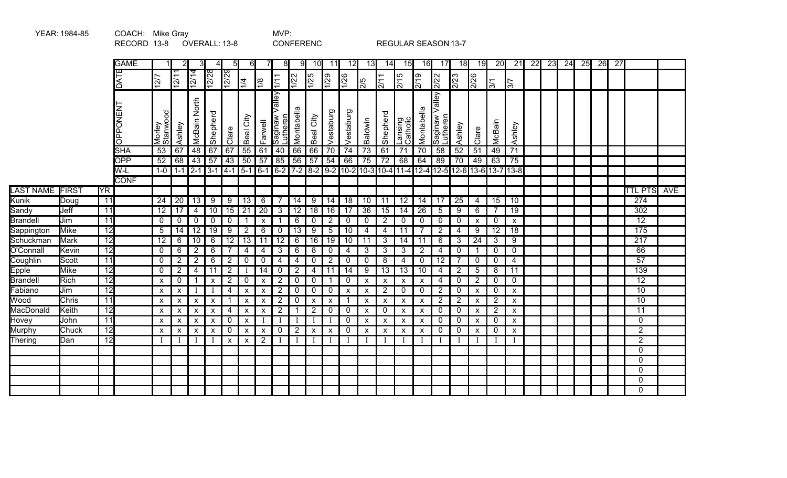|                  | YEAR: 1984-85 |                 | COACH: Mike Gray |                           |                    |                           |                           |                  |                           |                    | MVP:                          |                 |                           |                           |                 |                           |                           |                           |                           |                                      |                                                   |                           |                 |                         |                 |    |                 |    |    |                 |                    |  |
|------------------|---------------|-----------------|------------------|---------------------------|--------------------|---------------------------|---------------------------|------------------|---------------------------|--------------------|-------------------------------|-----------------|---------------------------|---------------------------|-----------------|---------------------------|---------------------------|---------------------------|---------------------------|--------------------------------------|---------------------------------------------------|---------------------------|-----------------|-------------------------|-----------------|----|-----------------|----|----|-----------------|--------------------|--|
|                  |               |                 | RECORD 13-8      |                           |                    |                           |                           | OVERALL: 13-8    |                           |                    |                               |                 | <b>CONFERENC</b>          |                           |                 |                           |                           | REGULAR SEASON 13-7       |                           |                                      |                                                   |                           |                 |                         |                 |    |                 |    |    |                 |                    |  |
|                  |               |                 | <b>GAME</b>      |                           | 2                  |                           | 4                         | 5I               | -61                       |                    | 8 <sup>1</sup>                | 9               | 10 <sup>1</sup>           | 11                        | 12              | 13                        | 14                        | 15                        | 16                        | 17                                   | 18                                                | 19                        | $\overline{20}$ | $\overline{21}$         | $\overline{22}$ | 23 | $\overline{24}$ | 25 | 26 | $\overline{27}$ |                    |  |
|                  |               |                 | DATE             | $\overline{27}$           | 12/11              | $\sqrt{\frac{4}{2}}$      | 12/28                     | $\frac{12}{2}$   | $\frac{1}{4}$             | 1/8                | $\overline{1/1}$              | 1/22            | $\frac{1}{25}$            | $\frac{1}{2}$             | $\frac{1}{26}$  | $\frac{5}{2}$             | 2/11                      | 2/15                      | 2/19                      | 2/22                                 | 2/23                                              | 2/26                      | $\overline{5}$  | $\overline{\mathbb{5}}$ |                 |    |                 |    |    |                 |                    |  |
|                  |               |                 |                  |                           |                    |                           |                           |                  |                           |                    |                               |                 |                           |                           |                 |                           |                           |                           |                           |                                      |                                                   |                           |                 |                         |                 |    |                 |    |    |                 |                    |  |
|                  |               |                 | <b>LN3NOddO</b>  | Morley<br>Stanwood        | Ashley             | North<br>McBain           | Shepherd                  | Clare            | Beal City                 | Farwell            | Valley<br>Saginaw<br>utheren_ | Montabella      | Beal City                 | Vestaburg                 | Vestaburg       | Baldwin                   | Shepherd                  | Lansing<br>Catholic       | Montabella                | Saginaw Valley <i> </i><br> Lutheren | Ashley                                            | Clare                     | McBain          | Ashley                  |                 |    |                 |    |    |                 |                    |  |
|                  |               |                 | <b>SHA</b>       | $\overline{53}$           | 67                 | 48                        | 67                        | 67               | $\overline{55}$           | 61                 | 40                            | 66              | 66                        | $\overline{70}$           | $\overline{74}$ | $\overline{73}$           | 61                        | $\overline{71}$           | $\overline{70}$           | $\overline{58}$                      | $\overline{52}$                                   | 51                        | 49              | $\overline{71}$         |                 |    |                 |    |    |                 |                    |  |
|                  |               |                 | <b>OPP</b>       | 52                        | 68                 | 43                        | 57                        | $\overline{43}$  | $\overline{50}$           | $\overline{57}$    | 85                            | 56              | $\sqrt{57}$               | $\overline{54}$           | 66              | $\overline{75}$           | $\overline{72}$           | 68                        | 64                        | 89                                   | 70                                                | 49                        | 63              | 75                      |                 |    |                 |    |    |                 |                    |  |
|                  |               |                 | W-L              |                           | $1-0$ 1-1 2-1      |                           | $3 - 1$ 4 - 1             |                  | $\sqrt{5-1}$              |                    |                               |                 |                           | $6-1$ 6-2 7-2 8-2 9-2     |                 |                           |                           |                           |                           |                                      | 10-2 10-3 10-4 11-4 12-4 12-5 12-6 13-6 13-7 13-8 |                           |                 |                         |                 |    |                 |    |    |                 |                    |  |
|                  |               |                 | <b>CONF</b>      |                           |                    |                           |                           |                  |                           |                    |                               |                 |                           |                           |                 |                           |                           |                           |                           |                                      |                                                   |                           |                 |                         |                 |    |                 |    |    |                 |                    |  |
| <b>LAST NAME</b> | <b>FIRST</b>  | <b>YR</b>       |                  |                           |                    |                           |                           |                  |                           |                    |                               |                 |                           |                           |                 |                           |                           |                           |                           |                                      |                                                   |                           |                 |                         |                 |    |                 |    |    |                 | <b>TTL PTS AVE</b> |  |
| Kunik            | Doug          | 11              |                  | 24                        | 20                 | 13                        | 9                         | 9                | $\overline{13}$           | 6                  | $\overline{7}$                | 14              | 9                         | 14                        | 18              | 10                        | 11                        | 12                        | 14                        | 17                                   | 25                                                | 4                         | 15              | 10                      |                 |    |                 |    |    |                 | $\overline{274}$   |  |
| Sandy            | Jeff          | 11              |                  | $\overline{12}$           | 17                 | 4                         | 10                        | 15               | $\overline{21}$           | $\overline{20}$    | $\overline{3}$                | 12              | $\overline{18}$           | 16                        | $\overline{17}$ | $\overline{36}$           | 15                        | $\overline{14}$           | $\overline{26}$           | 5                                    | 9                                                 | 6                         | 7               | $\overline{19}$         |                 |    |                 |    |    |                 | 302                |  |
| <b>Brandell</b>  | Jim           | 11              |                  | $\mathbf 0$               | 0                  | $\mathbf 0$               | $\mathbf 0$               | $\mathbf 0$      | $\mathbf{1}$              | $\pmb{\chi}$       |                               | 6               | $\mathbf 0$               | $\overline{2}$            | $\overline{0}$  | $\mathbf 0$               | 2                         | 0                         | 0                         | 0                                    | $\mathbf 0$                                       | X                         | 0               | X                       |                 |    |                 |    |    |                 | $\overline{12}$    |  |
| Sappington       | <b>Mike</b>   | $\overline{12}$ |                  | 5                         | 14                 | $\overline{12}$           | $\overline{19}$           | 9                | $\overline{2}$            | 6                  | $\mathbf 0$                   | $\overline{13}$ | 9                         | 5                         | $\overline{10}$ | $\overline{4}$            | 4                         | 11                        |                           | $\overline{2}$                       | 4                                                 | 9                         | 12              | $\overline{18}$         |                 |    |                 |    |    |                 | 175                |  |
| Schuckman        | <b>Mark</b>   | $\overline{12}$ |                  | $\overline{12}$           | 6                  | 10                        | 6                         | $\overline{12}$  | $\overline{13}$           | 11                 | 12                            | 6               | $\overline{16}$           | $\overline{19}$           | 10              | 11                        | 3                         | 14                        | 11                        | 6                                    | 3                                                 | 24                        | 3               | 9                       |                 |    |                 |    |    |                 | $\overline{217}$   |  |
| O'Connall        | Kevin         | $\overline{12}$ |                  | $\mathbf 0$               | 6                  | $\overline{2}$            | $6\phantom{1}6$           | $\overline{7}$   | $\overline{4}$            | 4                  | $\mathbf{3}$                  | 6               | 8                         | $\mathbf 0$               | $\overline{4}$  | 3                         | 3                         | 3                         | $\overline{2}$            | $\overline{4}$                       | $\mathbf 0$                                       | 1                         | $\mathbf{0}$    | $\mathbf 0$             |                 |    |                 |    |    |                 | 66                 |  |
| Coughlin         | Scott         | 11              |                  | 0                         | $2^{\circ}$        | $\overline{2}$            | 6                         | $\overline{2}$   | $\mathbf 0$               | 0                  | 4                             | 4               | $\mathbf 0$               | $\overline{2}$            | $\mathbf 0$     | $\mathbf{0}$              | 8                         | 4                         | $\mathbf{0}$              | 12                                   | 7                                                 | $\mathbf{0}$              | $\mathbf{0}$    | 4                       |                 |    |                 |    |    |                 | 57                 |  |
| <b>Epple</b>     | <b>Mike</b>   | $\overline{12}$ |                  | $\mathbf 0$               | $\overline{2}$     | 4                         | 11                        | $\overline{2}$   | Ι                         | 14                 | $\mathbf 0$                   | $\overline{2}$  | 4                         | 11                        | 14              | 9                         | 13                        | 13                        | 10                        | 4                                    | $\overline{2}$                                    | 5                         | 8               | 11                      |                 |    |                 |    |    |                 | 139                |  |
| <b>Brandell</b>  | Rich          | 12              |                  | $\boldsymbol{\mathsf{X}}$ | 0                  | 1                         | $\boldsymbol{\mathsf{x}}$ | $\overline{2}$   | $\mathbf 0$               | $\pmb{\mathsf{x}}$ | $\overline{2}$                | 0               | $\mathbf{0}$              |                           | $\mathbf 0$     | $\boldsymbol{\mathsf{x}}$ | $\boldsymbol{\mathsf{x}}$ | X                         | X                         | $\overline{4}$                       | $\mathbf{0}$                                      | $\overline{2}$            | $\mathbf{0}$    | 0                       |                 |    |                 |    |    |                 | $\overline{12}$    |  |
| Fabiano          | Jim           | $\overline{12}$ |                  | $\pmb{\chi}$              | X                  |                           |                           | $\overline{4}$   | $\boldsymbol{\mathsf{X}}$ | $\pmb{\chi}$       | $\overline{2}$                | 0               | $\mathbf 0$               | $\mathbf 0$               | $\mathsf{x}$    | $\boldsymbol{\mathsf{x}}$ | $\overline{2}$            | 0                         | 0                         | $\overline{2}$                       | 0                                                 | $\boldsymbol{\mathsf{x}}$ | 0               | $\mathsf{x}$            |                 |    |                 |    |    |                 | $\overline{10}$    |  |
| Wood             | <b>Chris</b>  | 11              |                  | $\boldsymbol{\mathsf{x}}$ | X                  | $\boldsymbol{\mathsf{x}}$ | $\boldsymbol{\mathsf{x}}$ |                  | $\boldsymbol{\mathsf{x}}$ | X                  | $\overline{2}$                | 0               | $\boldsymbol{\mathsf{x}}$ | $\boldsymbol{\mathsf{x}}$ | $\overline{1}$  | $\boldsymbol{\mathsf{x}}$ | $\boldsymbol{\mathsf{x}}$ | X                         | $\boldsymbol{\mathsf{x}}$ | $\overline{2}$                       | $\overline{2}$                                    | $\boldsymbol{\mathsf{x}}$ | $\overline{2}$  | $\pmb{\chi}$            |                 |    |                 |    |    |                 | $\overline{10}$    |  |
| MacDonald        | Keith         | $\overline{12}$ |                  | $\mathsf{x}$              | $\mathsf{x}$       | $\pmb{\mathsf{X}}$        | $\boldsymbol{\mathsf{x}}$ | $\overline{4}$   | $\boldsymbol{\mathsf{x}}$ | $\pmb{\mathsf{x}}$ | $\overline{2}$                | -1              | $\overline{2}$            | $\mathbf 0$               | $\overline{0}$  | $\boldsymbol{\mathsf{x}}$ | $\mathbf 0$               | $\boldsymbol{\mathsf{x}}$ | $\boldsymbol{\mathsf{x}}$ | 0                                    | $\mathbf 0$                                       | $\boldsymbol{\mathsf{x}}$ | $\overline{2}$  | $\pmb{\mathsf{x}}$      |                 |    |                 |    |    |                 | $\overline{11}$    |  |
| Hovey            | John          | $\overline{11}$ |                  | $\pmb{\chi}$              | $\pmb{\mathsf{X}}$ | $\pmb{\mathsf{X}}$        | $\pmb{\times}$            | $\mathbf 0$      | $\pmb{\times}$            |                    |                               |                 |                           |                           | $\mathbf 0$     | $\boldsymbol{\mathsf{x}}$ | $\boldsymbol{\mathsf{x}}$ | X                         | X                         | 0                                    | $\mathbf 0$                                       | $\boldsymbol{\mathsf{x}}$ | $\mathbf{0}$    | $\pmb{\times}$          |                 |    |                 |    |    |                 | $\Omega$           |  |
| Murphy           | Chuck         | $\overline{12}$ |                  | $\pmb{\times}$            | X                  | $\boldsymbol{\mathsf{x}}$ | X                         | $\boldsymbol{0}$ | $\pmb{\mathsf{x}}$        | X                  | 0                             | $\overline{2}$  | $\boldsymbol{\mathsf{x}}$ | $\boldsymbol{\mathsf{x}}$ | $\mathbf 0$     | $\boldsymbol{\mathsf{x}}$ | X                         | X                         | X                         | 0                                    | 0                                                 | $\boldsymbol{\mathsf{x}}$ | $\mathbf{0}$    | Χ                       |                 |    |                 |    |    |                 | $\overline{2}$     |  |
| Thering          | Dan           | $\overline{12}$ |                  |                           | $\bf{I}$           |                           |                           | $\pmb{\times}$   | $\pmb{\times}$            | $\overline{2}$     |                               | $\mathbf{I}$    |                           |                           | Ι               |                           |                           |                           |                           |                                      |                                                   | I                         |                 |                         |                 |    |                 |    |    |                 | $\overline{2}$     |  |
|                  |               |                 |                  |                           |                    |                           |                           |                  |                           |                    |                               |                 |                           |                           |                 |                           |                           |                           |                           |                                      |                                                   |                           |                 |                         |                 |    |                 |    |    |                 | $\Omega$           |  |
|                  |               |                 |                  |                           |                    |                           |                           |                  |                           |                    |                               |                 |                           |                           |                 |                           |                           |                           |                           |                                      |                                                   |                           |                 |                         |                 |    |                 |    |    |                 | $\Omega$           |  |
|                  |               |                 |                  |                           |                    |                           |                           |                  |                           |                    |                               |                 |                           |                           |                 |                           |                           |                           |                           |                                      |                                                   |                           |                 |                         |                 |    |                 |    |    |                 | $\Omega$           |  |
|                  |               |                 |                  |                           |                    |                           |                           |                  |                           |                    |                               |                 |                           |                           |                 |                           |                           |                           |                           |                                      |                                                   |                           |                 |                         |                 |    |                 |    |    |                 | $\mathbf 0$        |  |
|                  |               |                 |                  |                           |                    |                           |                           |                  |                           |                    |                               |                 |                           |                           |                 |                           |                           |                           |                           |                                      |                                                   |                           |                 |                         |                 |    |                 |    |    |                 | $\Omega$           |  |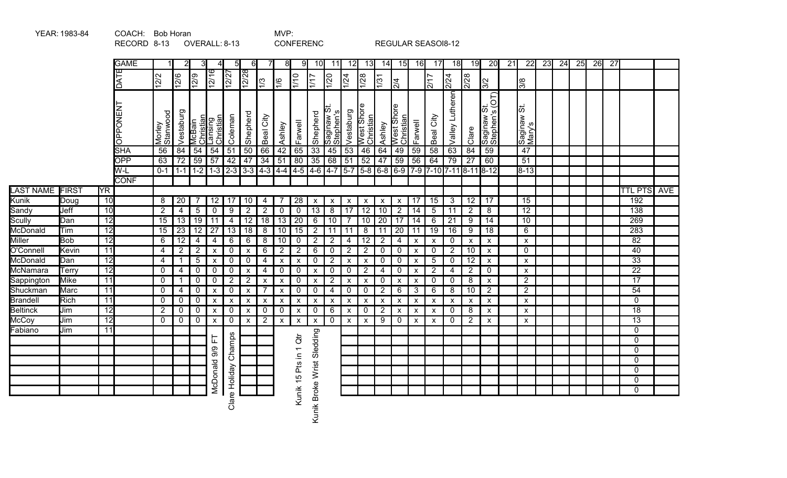|                  |                                                                                          |                 | RECORD 8-13                                |                    |                 |                 |                                   | OVERALL: 8-13                                   |                           |                           |                           |                       | <b>CONFERENC</b>                      |                          |                                 |                                 |                                 |                           |                           | REGULAR SEASOI8-12                      |                           |                           |                                     |    |                           |    |    |    |    |                 |                  |            |
|------------------|------------------------------------------------------------------------------------------|-----------------|--------------------------------------------|--------------------|-----------------|-----------------|-----------------------------------|-------------------------------------------------|---------------------------|---------------------------|---------------------------|-----------------------|---------------------------------------|--------------------------|---------------------------------|---------------------------------|---------------------------------|---------------------------|---------------------------|-----------------------------------------|---------------------------|---------------------------|-------------------------------------|----|---------------------------|----|----|----|----|-----------------|------------------|------------|
|                  |                                                                                          |                 | <b>GAME</b><br>3<br>5<br>61<br>7<br>8<br>9 |                    |                 |                 |                                   |                                                 |                           |                           |                           |                       |                                       |                          |                                 | 12<br>13                        | 14                              | 15                        | 16                        | 17                                      | 18                        | 19                        | 20                                  | 21 | $\overline{22}$           | 23 | 24 | 25 | 26 | $\overline{27}$ |                  |            |
|                  | DATE<br>$\frac{12}{16}$<br>$\frac{12}{2}$<br>12/27<br>12/2<br>12/6<br>12/9<br>$\sqrt{3}$ |                 |                                            |                    |                 |                 |                                   |                                                 |                           |                           |                           |                       |                                       |                          | $\frac{1}{24}$                  | 1/28                            | $\sqrt{31}$                     | $\frac{1}{24}$            |                           | 2/17                                    | 2/24                      | $\frac{1}{228}$           | 3/2                                 |    | $\sqrt{8}$                |    |    |    |    |                 |                  |            |
|                  |                                                                                          |                 | <b>LN3NOddO</b>                            | Morley<br>Stanwood | Vestaburg       | McBain          | Christian<br>Lansing<br>Christian | Coleman                                         | Shepherd                  | Beal City                 | Ashley                    | Farwell               | Shepherd                              | Saginaw St.<br>Stephen's | Vestaburg                       | West Shore<br>Christian         | Ashley                          | West Shore<br>Christian   | Farwell                   | Beal City                               | Valley Lutheren           | Clare                     | S(OT)<br> ភ<br>saginaw<br>Stephen's |    | ರದ<br>Saginaw :<br>Mary's |    |    |    |    |                 |                  |            |
|                  |                                                                                          |                 | <b>SHA</b>                                 | $\overline{56}$    | $\overline{84}$ | 54              | 54                                | $\overline{51}$                                 | 50                        | $\overline{66}$           | 42                        | $\overline{65}$       | $\overline{33}$                       | 45                       | 53                              | 46                              | 64                              | 49                        | 59                        | 58                                      | 63                        | 84                        | $\overline{59}$                     |    | 47                        |    |    |    |    |                 |                  |            |
|                  |                                                                                          |                 | <b>OPP</b>                                 | 63                 | $\overline{72}$ | 59              | 57                                | 42                                              | 47                        | $\overline{34}$           | 51                        | 80                    | $\overline{35}$                       | 68                       | 51                              | 52                              | 47                              | 59                        | 56                        | 64                                      | $\overline{79}$           | $\overline{27}$           | 60                                  |    | $\overline{51}$           |    |    |    |    |                 |                  |            |
|                  |                                                                                          |                 | W-L<br><b>CONF</b>                         | $0 - 1$            |                 | $1 - 1$ 1 - 2   |                                   | $1-3$ $2-3$ $3-3$ $4-3$ $4-4$ $4-5$ $4-6$ $4-7$ |                           |                           |                           |                       |                                       |                          |                                 |                                 |                                 |                           |                           | 5-7 5-8 6-8 6-9 7-9 7-10 7-11 8-11 8-12 |                           |                           |                                     |    | $8 - 13$                  |    |    |    |    |                 |                  |            |
| <b>LAST NAME</b> | <b>FIRST</b>                                                                             | <b>YR</b>       |                                            |                    |                 |                 |                                   |                                                 |                           |                           |                           |                       |                                       |                          |                                 |                                 |                                 |                           |                           |                                         |                           |                           |                                     |    |                           |    |    |    |    |                 | <b>TTL PTS</b>   | <b>AVE</b> |
| Kunik            | Doug                                                                                     | 10              |                                            | 8                  | 20              |                 | 12                                | 17                                              | 10                        | 4                         | -7                        | $\overline{28}$       |                                       |                          |                                 |                                 |                                 |                           | 17                        | 15                                      | 3                         | 12                        | 17                                  |    | 15                        |    |    |    |    |                 | 192              |            |
| Sandy            | Jeff                                                                                     | 10              |                                            | $\overline{2}$     | 4               | $\overline{5}$  | $\mathbf 0$                       | 9                                               | $\overline{2}$            | $\overline{2}$            | $\mathbf 0$               | $\mathbf 0$           | $\pmb{\mathsf{X}}$<br>$\overline{13}$ | X<br>$\overline{8}$      | $\boldsymbol{\mathsf{X}}$<br>17 | $\boldsymbol{\mathsf{X}}$<br>12 | $\boldsymbol{\mathsf{X}}$<br>10 | X<br>$\overline{2}$       | 14                        | 5                                       | 11                        | $\overline{2}$            | 8                                   |    | 12                        |    |    |    |    |                 | 138              |            |
| Scully           | Dan                                                                                      | $\overline{12}$ |                                            | $\overline{15}$    | 13              | $\overline{19}$ | $\overline{11}$                   | 4                                               | 12                        | $\overline{18}$           | $\overline{13}$           | $\overline{20}$       | 6                                     | 10                       |                                 | 10                              | $\overline{20}$                 | 17                        | 14                        | 6                                       | $\overline{21}$           | 9                         | $\overline{14}$                     |    | 10                        |    |    |    |    |                 | 269              |            |
| McDonald         | Tim                                                                                      | $\overline{12}$ |                                            | 15                 | $\overline{23}$ | $\overline{12}$ | $\overline{27}$                   | 13                                              | $\overline{18}$           | $\overline{8}$            | 10                        | $\overline{15}$       | $\overline{2}$                        | 11                       | 11                              | 8                               | 11                              | $\overline{20}$           | 11                        | $\overline{19}$                         | 16                        | 9                         | $\overline{18}$                     |    | 6                         |    |    |    |    |                 | $\overline{283}$ |            |
| Miller           | <b>Bob</b>                                                                               | $\overline{12}$ |                                            | $\overline{6}$     | $\overline{12}$ | 4               | 4                                 | 6                                               | 6                         | $\overline{8}$            | 10                        | $\boldsymbol{0}$      | $\overline{2}$                        | $\overline{2}$           | 4                               | $\overline{12}$                 | $\overline{2}$                  | 4                         | $\pmb{\times}$            | $\boldsymbol{\mathsf{x}}$               | $\mathbf 0$               | $\boldsymbol{\mathsf{x}}$ | $\pmb{\mathsf{X}}$                  |    | X                         |    |    |    |    |                 | $\overline{82}$  |            |
| O'Connell        | Kevin                                                                                    | 11              |                                            | 4                  | $\sqrt{2}$      | $\overline{2}$  | $\pmb{\mathsf{X}}$                | 0                                               | $\boldsymbol{\mathsf{x}}$ | 6                         | $\overline{2}$            | $\overline{c}$        | 6                                     | $\mathbf 0$              | $\overline{2}$                  | $\overline{2}$                  | 0                               | $\mathbf 0$               | $\pmb{\times}$            | 0                                       | $\overline{2}$            | 10                        | $\boldsymbol{\mathsf{X}}$           |    | $\mathbf 0$               |    |    |    |    |                 | 40               |            |
| McDonald         | Dan                                                                                      | 12              |                                            | 4                  | $\mathbf{1}$    | $\overline{5}$  | $\boldsymbol{\mathsf{x}}$         | 0                                               | $\mathbf 0$               | 4                         | $\boldsymbol{\mathsf{x}}$ | $\pmb{\times}$        | $\mathbf 0$                           | $\overline{2}$           | $\boldsymbol{\mathsf{x}}$       | $\pmb{\chi}$                    | 0                               | $\mathbf 0$               | $\boldsymbol{\mathsf{x}}$ | $5\phantom{.0}$                         | $\mathbf 0$               | 12                        | $\boldsymbol{\mathsf{X}}$           |    | $\mathsf{x}$              |    |    |    |    |                 | $\overline{33}$  |            |
| McNamara         | Terry                                                                                    | 12              |                                            | $\mathbf 0$        | $\overline{4}$  | $\mathbf 0$     | $\mathbf 0$                       | 0                                               | $\boldsymbol{\mathsf{x}}$ | 4                         | $\mathbf 0$               | $\mathbf 0$           | $\boldsymbol{\mathsf{X}}$             | $\mathbf 0$              | 0                               | $\overline{2}$                  | 4                               | $\mathbf 0$               | $\boldsymbol{\mathsf{x}}$ | $\overline{2}$                          | 4                         | $\overline{2}$            | $\mathbf 0$                         |    | X                         |    |    |    |    |                 | $\overline{22}$  |            |
| Sappington       | <b>Mike</b>                                                                              | $\overline{11}$ |                                            | $\mathbf 0$        | $\mathbf{1}$    | $\mathbf 0$     | 0                                 | $\overline{2}$                                  | $\sqrt{2}$                | $\boldsymbol{\mathsf{x}}$ | $\boldsymbol{\mathsf{x}}$ | $\mathbf 0$           | $\pmb{\mathsf{x}}$                    | $\overline{2}$           | X                               | $\boldsymbol{\mathsf{x}}$       | 0                               | $\boldsymbol{\mathsf{x}}$ | $\boldsymbol{\mathsf{x}}$ | $\mathbf 0$                             | $\mathbf 0$               | 8                         | $\mathsf{x}$                        |    | $\overline{2}$            |    |    |    |    |                 | 17               |            |
| Shuckman         | Marc                                                                                     | 11              |                                            | $\mathbf{0}$       | 4               | $\pmb{0}$       | X                                 | 0                                               | $\boldsymbol{\mathsf{x}}$ | 7                         | $\boldsymbol{\mathsf{X}}$ | $\mathbf 0$           | $\pmb{0}$                             | $\overline{4}$           | 0                               | 0                               | $\overline{2}$                  | $6\phantom{1}6$           | $\mathfrak{S}$            | 6                                       | 8                         | $\overline{10}$           | 2                                   |    | $\overline{2}$            |    |    |    |    |                 | 54               |            |
| Brandell         | Rich                                                                                     | 11              |                                            | 0                  | $\mathbf 0$     | 0               | $\pmb{\mathsf{X}}$                | X                                               | $\boldsymbol{\mathsf{x}}$ | $\pmb{\mathsf{X}}$        | $\boldsymbol{\mathsf{x}}$ | $\pmb{\mathsf{x}}$    | $\pmb{\mathsf{X}}$                    | $\pmb{\mathsf{x}}$       | X                               | X                               | $\boldsymbol{\mathsf{x}}$       | X                         | $\boldsymbol{\mathsf{x}}$ | $\pmb{\times}$                          | $\boldsymbol{\mathsf{x}}$ | $\boldsymbol{\mathsf{x}}$ | $\pmb{\mathsf{x}}$                  |    | $\pmb{\mathsf{x}}$        |    |    |    |    |                 | $\overline{0}$   |            |
| <b>Beltinck</b>  | Jim                                                                                      | $\overline{12}$ |                                            | $\overline{2}$     | $\mathbf 0$     | $\mathbf 0$     | $\pmb{\mathsf{X}}$                | 0                                               | $\pmb{\times}$            | 0                         | $\mathbf 0$               | $\pmb{\mathsf{x}}$    | $\overline{0}$                        | $6\overline{6}$          | $\pmb{\mathsf{X}}$              | 0                               | $\overline{2}$                  | $\pmb{\mathsf{X}}$        | $\pmb{\times}$            | $\pmb{\times}$                          | $\mathbf 0$               | 8                         | $\pmb{\mathsf{x}}$                  |    | $\pmb{\mathsf{x}}$        |    |    |    |    |                 | $\overline{18}$  |            |
| McCoy            | Jim                                                                                      | 12              |                                            | $\mathbf 0$        | 0               | $\mathbf 0$     | $\boldsymbol{\mathsf{x}}$         | 0                                               | $\boldsymbol{\mathsf{x}}$ | $\overline{2}$            | $\boldsymbol{\mathsf{x}}$ | $\pmb{\mathsf{x}}$    | $\pmb{\mathsf{X}}$                    | $\mathbf 0$              | $\mathsf{x}$                    | $\mathsf{x}$                    | 9                               | $\mathbf 0$               | $\boldsymbol{\mathsf{x}}$ | $\mathsf{x}$                            | 0                         | $\overline{2}$            | $\boldsymbol{\mathsf{x}}$           |    | $\pmb{\mathsf{x}}$        |    |    |    |    |                 | $\overline{13}$  |            |
| Fabiano          | Jim                                                                                      | $\overline{11}$ |                                            |                    |                 |                 |                                   |                                                 |                           |                           |                           |                       |                                       |                          |                                 |                                 |                                 |                           |                           |                                         |                           |                           |                                     |    |                           |    |    |    |    |                 | $\overline{0}$   |            |
|                  |                                                                                          |                 |                                            |                    |                 |                 | ᄂ                                 | Champs                                          |                           |                           |                           | $\ddot{\vec{\sigma}}$ |                                       |                          |                                 |                                 |                                 |                           |                           |                                         |                           |                           |                                     |    |                           |    |    |    |    |                 | $\overline{0}$   |            |
|                  |                                                                                          |                 |                                            |                    |                 |                 | 9/9                               |                                                 |                           |                           |                           |                       |                                       |                          |                                 |                                 |                                 |                           |                           |                                         |                           |                           |                                     |    |                           |    |    |    |    |                 | $\mathbf 0$      |            |
|                  |                                                                                          |                 |                                            |                    |                 |                 |                                   |                                                 |                           |                           |                           |                       |                                       |                          |                                 |                                 |                                 |                           |                           |                                         |                           |                           |                                     |    |                           |    |    |    |    |                 | $\overline{0}$   |            |
|                  |                                                                                          |                 |                                            |                    |                 |                 |                                   |                                                 |                           |                           |                           |                       |                                       |                          |                                 |                                 |                                 |                           |                           |                                         |                           |                           |                                     |    |                           |    |    |    |    |                 | $\mathbf 0$      |            |
|                  |                                                                                          |                 |                                            |                    |                 |                 | McDonald                          |                                                 |                           |                           |                           |                       |                                       |                          |                                 |                                 |                                 |                           |                           |                                         |                           |                           |                                     |    |                           |    |    |    |    |                 | $\overline{0}$   |            |
|                  |                                                                                          |                 |                                            |                    |                 |                 |                                   |                                                 |                           |                           |                           |                       |                                       |                          |                                 |                                 |                                 |                           |                           |                                         |                           |                           |                                     |    |                           |    |    |    |    |                 | $\overline{0}$   |            |
|                  |                                                                                          |                 |                                            |                    |                 |                 |                                   | Clare Holiday                                   |                           |                           |                           | Kunik 15 Pts in 1     | Kunik Broke Wrist Sledding            |                          |                                 |                                 |                                 |                           |                           |                                         |                           |                           |                                     |    |                           |    |    |    |    |                 |                  |            |

YEAR: 1983-84 COACH: Bob Horan COACH: NVP: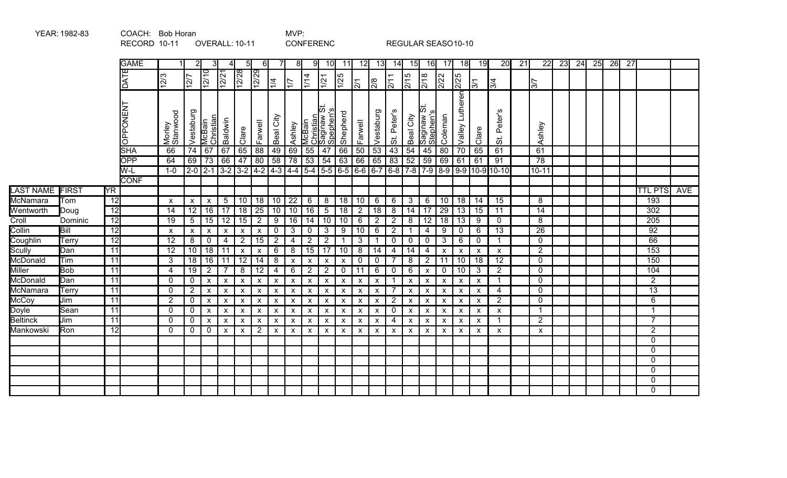|                  |              |                 | RECORD 10-11    |                           |                    | <b>OVERALL: 10-11</b>     |                           |                           |                           |                         |                           |                           | <b>CONFERENC</b>                          |                           |                |                           |                           |                           |                                |                           | REGULAR SEASO10-10        |                           |                                          |    |                 |    |    |    |    |                 |                  |     |
|------------------|--------------|-----------------|-----------------|---------------------------|--------------------|---------------------------|---------------------------|---------------------------|---------------------------|-------------------------|---------------------------|---------------------------|-------------------------------------------|---------------------------|----------------|---------------------------|---------------------------|---------------------------|--------------------------------|---------------------------|---------------------------|---------------------------|------------------------------------------|----|-----------------|----|----|----|----|-----------------|------------------|-----|
|                  |              |                 | <b>GAME</b>     |                           |                    |                           |                           | 51                        | 61                        |                         | 81                        | 9                         | 10 <sup>l</sup>                           | 11                        | 12             | 13                        | 14 <b>1</b>               | 15                        | <b>16</b>                      | -17                       | 18                        | 19                        | 20                                       | 21 | 22              | 23 | 24 | 25 | 26 | $\overline{27}$ |                  |     |
|                  |              |                 | DATE            | $\overline{12/3}$         | $\overline{127}$   | $\sqrt{\frac{2}{12}}$     | 12/21                     | 12/28                     | $\frac{12}{2}$            | 1/4                     | 17                        | 1/14                      | 1/21                                      | $\frac{15}{25}$           | $\overline{5}$ | 2/8                       | $\overline{211}$          | 2/15                      | $\frac{8}{218}$                | 2/22                      | 2/25                      | $\mathbb{E}$              | $\overline{3/4}$                         |    | 37              |    |    |    |    |                 |                  |     |
|                  |              |                 | <b>OPPONENT</b> | Morley<br>Stanwood        | Vestaburg          | Christian<br>McBain       | Baldwin                   | Clare                     | Farwell                   | Beal City               | Ashley                    | McBain                    | ಸ<br>Christian<br>Saginaw St<br>Spephen's | Shepherd                  | Farwell        | Vestaburg                 | Peter's<br>$\ddot{\circ}$ | Beal City                 | ぁ<br>ဖ<br>Saginaw<br>Stephen's | Coleman                   | Valley Lutheren           | Clare                     | Peter's<br>$\ddot{\tilde{\sigma}}$       |    | Ashley          |    |    |    |    |                 |                  |     |
|                  |              |                 | <b>SHA</b>      | 66                        |                    | $74 \mid 67$              | 67                        | 65                        | 88                        | 49                      | 69                        | 55                        | 47                                        | 66                        | 50             | 53                        | 43                        | 54                        | 45                             | $\overline{80}$           | $\overline{70}$           | 65                        | 61                                       |    | 61              |    |    |    |    |                 |                  |     |
|                  |              |                 | <b>OPP</b>      | 64                        |                    | $69$ 73                   | 66                        | $\overline{47}$           | $\overline{80}$           | 58                      | $\overline{78}$           | $\overline{53}$           | $\overline{54}$                           | 63                        | 66             | 65   83                   |                           | 52                        | 59                             | 69                        | 61                        | 61                        | 91                                       |    | 78              |    |    |    |    |                 |                  |     |
|                  |              |                 | W-L             | $1-0$                     |                    | $2-0$ 2-1                 | $3-2$ 3-2 4-2 4-3 4-4 5-4 |                           |                           |                         |                           |                           | $5-5$ 6-5                                 |                           |                |                           |                           |                           |                                |                           |                           |                           | $6-6$ 6-7 6-8 7-8 7-9 8-9 9-9 10-9 10-10 |    | $10 - 11$       |    |    |    |    |                 |                  |     |
|                  |              |                 | <b>CONF</b>     |                           |                    |                           |                           |                           |                           |                         |                           |                           |                                           |                           |                |                           |                           |                           |                                |                           |                           |                           |                                          |    |                 |    |    |    |    |                 |                  |     |
| <b>LAST NAME</b> | <b>FIRST</b> | <b>YR</b>       |                 |                           |                    |                           |                           |                           |                           |                         |                           |                           |                                           |                           |                |                           |                           |                           |                                |                           |                           |                           |                                          |    |                 |    |    |    |    |                 | <b>TTL PTS</b>   | AVE |
| McNamara         | Tom          | $\overline{12}$ |                 | $\boldsymbol{\mathsf{x}}$ | X                  | $\boldsymbol{\mathsf{x}}$ | $\overline{5}$            | 10                        | 18                        | 10                      | 22                        | 6                         | 8                                         | $\overline{18}$           | 10             | 6                         | 6                         | 3                         | 6                              | 10                        | 18                        | 14                        | 15                                       |    | 8               |    |    |    |    |                 | 193              |     |
| Wentworth        | Doug         | $\overline{12}$ |                 | $\overline{14}$           |                    | 12 16                     | $\overline{17}$           | $\overline{18}$           | $\overline{25}$           | 10                      | 10                        | 16                        | $5\overline{)}$                           | $\overline{18}$           | $\overline{2}$ | 18                        | 8                         | 14                        | $\overline{17}$                | $\overline{29}$           | 13                        | $\overline{15}$           | $\overline{11}$                          |    | $\overline{14}$ |    |    |    |    |                 | 302              |     |
| Croll            | Dominic      | $\overline{12}$ |                 | $\overline{19}$           | 5                  | $ 15\rangle$              | $\overline{12}$           | $\overline{15}$           | $\overline{2}$            | 9                       | 16                        | $\overline{14}$           | 10                                        | 10                        | 6              | $\overline{2}$            | $\overline{2}$            | 8                         | 12                             | $\overline{18}$           | 13                        | 9                         | 0                                        |    | 8               |    |    |    |    |                 | 205              |     |
| Collin           | Bill         | $\overline{12}$ |                 | $\boldsymbol{\mathsf{x}}$ | $\pmb{\mathsf{x}}$ | $\boldsymbol{\mathsf{x}}$ | X                         | $\pmb{\mathsf{x}}$        | $\pmb{\mathsf{x}}$        | $\mathbf 0$             | $\mathbf{3}$              | $\mathbf 0$               | $\mathbf{3}$                              | 9                         | 10             | 6                         | $\overline{2}$            |                           | $\overline{4}$                 | 9                         | $\mathbf 0$               | 6                         | $\overline{13}$                          |    | $\overline{26}$ |    |    |    |    |                 | $\overline{92}$  |     |
| Coughlin         | Terry        | 12              |                 | $\overline{12}$           | 8                  | $\overline{0}$            | 4                         | $\overline{2}$            | 15                        | $\overline{2}$          | 4                         | $\overline{2}$            | $\overline{2}$                            |                           | 3              |                           | $\mathbf{0}$              | $\mathbf 0$               | $\mathbf 0$                    | $\mathbf{3}$              | 6                         | 0                         | 1                                        |    | $\mathbf{0}$    |    |    |    |    |                 | 66               |     |
| Scully           | Dan          | 11              |                 | $\overline{12}$           |                    | 10 18                     | 11                        | $\boldsymbol{\mathsf{x}}$ | $\pmb{\mathsf{X}}$        | 6                       | 8                         | $\overline{15}$           | $\overline{17}$                           | 10                        | 8              | 14                        | $\overline{4}$            | 14                        | $\overline{4}$                 | $\pmb{\mathsf{x}}$        | $\pmb{\mathsf{x}}$        | $\pmb{\mathsf{X}}$        | $\mathsf{x}$                             |    | $\overline{2}$  |    |    |    |    |                 | $\overline{153}$ |     |
| McDonald         | Tim          | 11              |                 | 3                         |                    | 18 16                     | 11                        | $\overline{12}$           | $\overline{14}$           | 8                       | $\pmb{\mathsf{X}}$        | $\boldsymbol{\mathsf{X}}$ | $\boldsymbol{\mathsf{x}}$                 | $\pmb{\mathsf{X}}$        | 0              | $\mathsf{O}$              | $\overline{7}$            | 8                         | $\overline{2}$                 | 11                        | 10                        | $\overline{18}$           | $\overline{12}$                          |    | $\mathbf 0$     |    |    |    |    |                 | 150              |     |
| Miller           | <b>Bob</b>   | $\overline{11}$ |                 | $\overline{4}$            | 19                 | $\overline{2}$            |                           | $\overline{8}$            | $\overline{12}$           | $\overline{\mathbf{4}}$ | $\,6\,$                   | $\overline{2}$            | $\overline{2}$                            | $\mathbf 0$               | 11             | 6                         | $\mathbf 0$               | 6                         | $\boldsymbol{\mathsf{x}}$      | $\mathbf 0$               | 10                        | $\mathbf{3}$              | $\overline{2}$                           |    | $\mathbf 0$     |    |    |    |    |                 | 104              |     |
| McDonald         | Dan          | 11              |                 | $\mathbf{0}$              | $\mathbf 0$        | $\boldsymbol{\mathsf{x}}$ | X                         | $\pmb{\mathsf{X}}$        | $\boldsymbol{\mathsf{x}}$ | $\mathsf{x}$            | $\boldsymbol{\mathsf{x}}$ | $\boldsymbol{\mathsf{x}}$ | $\boldsymbol{\mathsf{x}}$                 | $\mathsf{x}$              | $\mathsf{x}$   | $\mathsf{x}$              | $\mathbf 1$               | $\boldsymbol{\mathsf{x}}$ | $\boldsymbol{\mathsf{X}}$      | $\boldsymbol{\mathsf{x}}$ | $\boldsymbol{\mathsf{x}}$ | $\mathsf{x}$              | 1                                        |    | $\mathbf 0$     |    |    |    |    |                 | $\overline{2}$   |     |
| McNamara         | Terry        | $\overline{11}$ |                 | $\Omega$                  | $\overline{2}$     | $\boldsymbol{\mathsf{X}}$ | X                         | $\boldsymbol{\mathsf{x}}$ | $\boldsymbol{\mathsf{x}}$ | X                       | X                         | X                         | $\boldsymbol{\mathsf{x}}$                 | $\boldsymbol{\mathsf{x}}$ | X              | X                         | $\overline{7}$            | X                         | $\boldsymbol{\mathsf{X}}$      | $\boldsymbol{\mathsf{x}}$ | $\boldsymbol{\mathsf{X}}$ | $\boldsymbol{\mathsf{x}}$ | $\overline{4}$                           |    | $\overline{0}$  |    |    |    |    |                 | 13               |     |
| McCoy            | Jim          | 11              |                 | $\overline{2}$            | 0                  | $\boldsymbol{\mathsf{x}}$ | X                         | $\boldsymbol{\mathsf{x}}$ | $\boldsymbol{\mathsf{x}}$ | X                       | $\boldsymbol{\mathsf{x}}$ | $\boldsymbol{\mathsf{x}}$ | $\boldsymbol{\mathsf{x}}$                 | $\boldsymbol{\mathsf{x}}$ | X              | $\mathsf{x}$              | $\overline{2}$            | $\boldsymbol{\mathsf{x}}$ | $\boldsymbol{\mathsf{x}}$      | $\boldsymbol{\mathsf{x}}$ | $\boldsymbol{\mathsf{X}}$ | $\mathsf{x}$              | $\overline{2}$                           |    | $\mathbf{0}$    |    |    |    |    |                 | 6                |     |
| Doyle            | Sean         | 11              |                 | $\mathbf 0$               | 0                  | $\mathsf{X}$              | X                         | $\boldsymbol{\mathsf{X}}$ | $\boldsymbol{\mathsf{x}}$ | X                       | $\boldsymbol{\mathsf{x}}$ | $\boldsymbol{\mathsf{x}}$ | $\boldsymbol{\mathsf{X}}$                 | $\boldsymbol{\mathsf{X}}$ | X              | $\boldsymbol{\mathsf{x}}$ | $\mathbf 0$               | $\boldsymbol{\mathsf{X}}$ | $\boldsymbol{\mathsf{X}}$      | $\boldsymbol{\mathsf{x}}$ | $\boldsymbol{\mathsf{x}}$ | $\boldsymbol{\mathsf{x}}$ | $\mathsf{x}$                             |    | -1              |    |    |    |    |                 | 1                |     |
| <b>Beltinck</b>  | Jim          | 11              |                 | $\Omega$                  | 0                  | $\mathbf{x}$              | $\pmb{\times}$            | $\boldsymbol{\mathsf{x}}$ | $\pmb{\mathsf{X}}$        | X                       | $\pmb{\mathsf{X}}$        | $\boldsymbol{\mathsf{x}}$ | $\pmb{\mathsf{X}}$                        | $\pmb{\mathsf{X}}$        | X              | $\mathsf{x}$              | $\overline{4}$            | $\pmb{\mathsf{x}}$        | $\boldsymbol{\mathsf{x}}$      | $\pmb{\mathsf{X}}$        | $\pmb{\mathsf{X}}$        | X                         | 1                                        |    | 2               |    |    |    |    |                 | $\overline{7}$   |     |
| Mankowski        | Ron          | 12              |                 | $\Omega$                  | $\mathbf 0$        | $\Omega$                  | X                         | $\boldsymbol{\mathsf{x}}$ | $\overline{2}$            | X                       | $\boldsymbol{\mathsf{x}}$ | $\boldsymbol{\mathsf{x}}$ | $\boldsymbol{\mathsf{x}}$                 | $\boldsymbol{\mathsf{x}}$ | $\mathsf{x}$   | $\mathsf{x}$              | $\mathsf{x}$              | X                         | $\boldsymbol{\mathsf{x}}$      | $\boldsymbol{\mathsf{x}}$ | $\boldsymbol{\mathsf{x}}$ | $\mathsf{x}$              | $\mathsf{x}$                             |    | X               |    |    |    |    |                 | $\overline{2}$   |     |
|                  |              |                 |                 |                           |                    |                           |                           |                           |                           |                         |                           |                           |                                           |                           |                |                           |                           |                           |                                |                           |                           |                           |                                          |    |                 |    |    |    |    |                 | $\overline{0}$   |     |
|                  |              |                 |                 |                           |                    |                           |                           |                           |                           |                         |                           |                           |                                           |                           |                |                           |                           |                           |                                |                           |                           |                           |                                          |    |                 |    |    |    |    |                 | $\mathbf 0$      |     |
|                  |              |                 |                 |                           |                    |                           |                           |                           |                           |                         |                           |                           |                                           |                           |                |                           |                           |                           |                                |                           |                           |                           |                                          |    |                 |    |    |    |    |                 | $\mathbf 0$      |     |
|                  |              |                 |                 |                           |                    |                           |                           |                           |                           |                         |                           |                           |                                           |                           |                |                           |                           |                           |                                |                           |                           |                           |                                          |    |                 |    |    |    |    |                 | $\Omega$         |     |
|                  |              |                 |                 |                           |                    |                           |                           |                           |                           |                         |                           |                           |                                           |                           |                |                           |                           |                           |                                |                           |                           |                           |                                          |    |                 |    |    |    |    |                 | $\mathbf 0$      |     |
|                  |              |                 |                 |                           |                    |                           |                           |                           |                           |                         |                           |                           |                                           |                           |                |                           |                           |                           |                                |                           |                           |                           |                                          |    |                 |    |    |    |    |                 | $\overline{0}$   |     |

YEAR: 1982-83 COACH: Bob Horan COACH: NVP: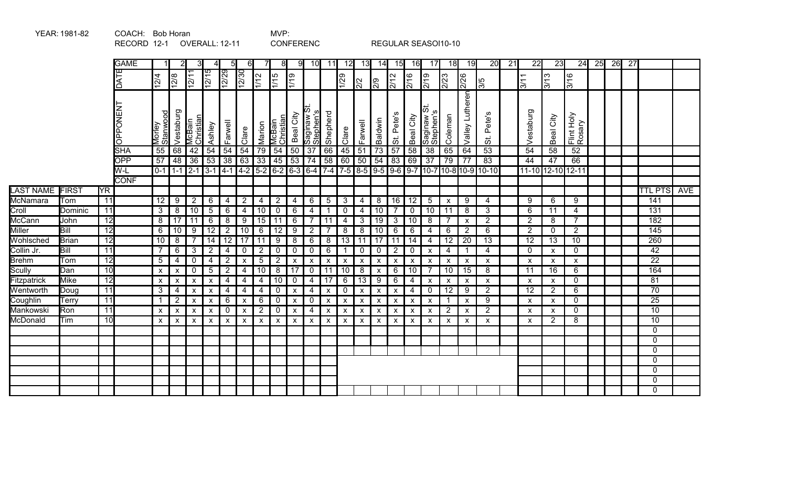|                  |              |                 | RECORD 12-1     |                           |                           |                     | OVERALL: 12-11            |                           |                           |                           |                           | <b>CONFERENC</b>                      |                           |                           |                           |                           |                           |                               |                                              | REGULAR SEASOI10-10                   |                           |                                   |                                                                                                                                                                             |                 |                                       |                    |                                   |    |    |                 |                       |     |
|------------------|--------------|-----------------|-----------------|---------------------------|---------------------------|---------------------|---------------------------|---------------------------|---------------------------|---------------------------|---------------------------|---------------------------------------|---------------------------|---------------------------|---------------------------|---------------------------|---------------------------|-------------------------------|----------------------------------------------|---------------------------------------|---------------------------|-----------------------------------|-----------------------------------------------------------------------------------------------------------------------------------------------------------------------------|-----------------|---------------------------------------|--------------------|-----------------------------------|----|----|-----------------|-----------------------|-----|
|                  |              |                 | <b>GAME</b>     |                           |                           |                     |                           | 5                         | 6I                        |                           | 8                         | 91                                    | 10 <sup>l</sup>           | 11                        | 12                        | 13                        | 14                        | 15                            | 16                                           | 17                                    | 18                        | 19                                | 20                                                                                                                                                                          | $\overline{21}$ | $\overline{22}$                       | $\overline{23}$    | 24                                | 25 | 26 | $\overline{27}$ |                       |     |
|                  |              |                 | DATE            | 12/4                      | 12/8                      | 12/11               | 12/15                     | 12/29                     | $\sqrt{2/30}$             | $\frac{2}{112}$           | 1/15                      | $\frac{611}{1}$                       |                           |                           | 1/29                      | $\frac{1}{2}$             | 2/9                       | $\frac{2}{12}$                | 2/16                                         | 2/19                                  | 2/23                      | 2/26                              | 15                                                                                                                                                                          |                 | 3/11                                  | 3/13               | 3/16                              |    |    |                 |                       |     |
|                  |              |                 | <b>LN3NOddO</b> | Morley<br>Stanwood        | Vestaburg                 | McBain<br>Christian | Ashley                    | Farwell                   | Clare                     | Marion                    | McBain<br>Christiar       | Beal City                             | Saginaw<br>Stephen's      | Shepherd                  | Clare                     | Farwell                   | Baldwin                   | ဖ<br>Pete'<br>$\ddot{\sigma}$ | Beal City                                    | ಹ<br><b>S</b><br>Saginaw<br>Stephen's | Coleman                   | Valley Lutheren                   | Pete's<br>$\ddot{\sigma}$                                                                                                                                                   |                 | Vestaburg                             | City<br>Beal       | Flint Holy<br>Rosary              |    |    |                 |                       |     |
|                  |              |                 | <b>SHA</b>      | 55                        | 68                        | 42                  | $\overline{54}$           | $\overline{54}$           | 54                        | $\overline{79}$           | $\overline{54}$           | 50                                    | $\overline{37}$           | 66                        | 45                        | $\overline{51}$           | $\overline{73}$           | $\overline{57}$               | $\overline{58}$                              | $\overline{38}$                       | 65                        | 64                                | $\overline{53}$                                                                                                                                                             |                 | $\overline{54}$                       | 58                 | $\overline{52}$                   |    |    |                 |                       |     |
|                  |              |                 | <b>OPP</b>      | $\overline{57}$           | 48                        | $\overline{36}$     | 53                        | $\overline{38}$           | 63                        | $\overline{33}$           | 45                        | $53 \mid 74$                          |                           | 58                        | 60                        | 50                        | 54                        | 83                            | 69                                           | 37                                    | 79                        | $\overline{77}$                   | 83                                                                                                                                                                          |                 | 44                                    | 47                 | 66                                |    |    |                 |                       |     |
|                  |              |                 | $W-L$           |                           | $0-1$ 1-1                 |                     | $2 - 1$ 3 - 1 4 - 1       |                           | $4-2$ 5-2                 |                           |                           |                                       |                           |                           |                           |                           |                           |                               |                                              |                                       |                           |                                   | $\boxed{6-2}$ $\boxed{6-3}$ $\boxed{6-4}$ $\boxed{7-4}$ $\boxed{7-5}$ $\boxed{8-5}$ $\boxed{9-5}$ $\boxed{9-6}$ $\boxed{9-7}$ $\boxed{10-8}$ $\boxed{10-9}$ $\boxed{10-10}$ |                 |                                       | 11-10 12-10 12-11  |                                   |    |    |                 |                       |     |
|                  |              |                 | <b>CONF</b>     |                           |                           |                     |                           |                           |                           |                           |                           |                                       |                           |                           |                           |                           |                           |                               |                                              |                                       |                           |                                   |                                                                                                                                                                             |                 |                                       |                    |                                   |    |    |                 |                       |     |
| <b>LAST NAME</b> | <b>FIRST</b> | YR.             |                 |                           |                           |                     |                           |                           |                           |                           |                           |                                       |                           |                           |                           |                           |                           |                               |                                              |                                       |                           |                                   |                                                                                                                                                                             |                 |                                       |                    |                                   |    |    |                 | <b>TTL PTS</b>        | AVE |
| <b>McNamara</b>  | Tom          | $\overline{11}$ |                 | $\overline{12}$           | 9                         | $\overline{2}$      | 6                         | 4                         | $\overline{2}$            | 4                         | $\overline{2}$            | 4                                     | 6                         | $\sqrt{5}$                | $\mathbf{3}$              | $\overline{4}$            | 8                         | 16                            | $\overline{12}$                              | 5                                     | $\boldsymbol{\mathsf{x}}$ | 9                                 | 4                                                                                                                                                                           |                 | 9                                     | 6                  | 9                                 |    |    |                 | 141                   |     |
| Croll            | Dominic      | 11              |                 | 3                         | 8                         | 10                  | 5                         | 6                         | $\overline{4}$            | 10                        | $\mathbf 0$               | 6                                     | $\overline{4}$            | -1                        | $\mathbf 0$               | 4                         | 10                        |                               | $\mathbf 0$                                  | 10                                    | 11                        | 8                                 | 3                                                                                                                                                                           |                 | 6                                     | 11                 | $\overline{4}$                    |    |    |                 | 131                   |     |
| McCann           | John         | 12              |                 | 8                         | 17                        | 11                  | 6                         | 8                         | 9                         | 15                        | 11                        | 6                                     | 7                         | 11                        | $\overline{4}$            | 3                         | 19                        | 3                             | 10                                           | 8                                     | -7                        | $\boldsymbol{\mathsf{x}}$         | $\overline{2}$                                                                                                                                                              |                 | $\overline{2}$                        | 8                  | $\overline{7}$                    |    |    |                 | 182                   |     |
| <b>Miller</b>    | Bill         | $\overline{12}$ |                 | 6                         | 10                        | $\overline{9}$      | $\overline{12}$           | $\overline{2}$            | $\overline{10}$           | 6                         | $\overline{12}$           | 9                                     | $\overline{2}$            | $\overline{7}$            | $\overline{8}$            | 8                         | 10<br>$\overline{17}$     | $\,6$                         | 6                                            | 4                                     | $\,6$                     | $\overline{2}$<br>$\overline{20}$ | $\overline{6}$                                                                                                                                                              |                 | $\overline{2}$<br>$\overline{12}$     | $\mathbf 0$        | $\overline{2}$<br>$\overline{10}$ |    |    |                 | 145                   |     |
| Wohlsched        | Brian        | $\overline{12}$ |                 | $\overline{10}$           | 8                         |                     | 14                        | $\overline{12}$           | $\overline{17}$           | $\overline{11}$           | $\overline{9}$            | $\overline{8}$                        | 6                         | 8                         | $\overline{13}$           | $\overline{11}$           |                           | 11                            | $\overline{14}$                              | 4                                     | $\overline{12}$           |                                   | $\overline{13}$                                                                                                                                                             |                 |                                       | $\overline{13}$    |                                   |    |    |                 | 260                   |     |
| Collin Jr.       | Bill         | 11              |                 | $\overline{7}$            | $6\phantom{1}$            | 3 <sup>1</sup>      | $\overline{2}$            | 4                         | $\mathbf 0$               | $\overline{2}$            | $\mathbf 0$               | 0                                     | $\overline{0}$            | $\,6$                     | $\mathbf{1}$              | $\mathbf 0$               | $\mathbf 0$               | $\overline{2}$                | $\mathbf 0$                                  | $\boldsymbol{\mathsf{x}}$             | 4                         |                                   | 4                                                                                                                                                                           |                 | 0                                     | X                  | 0                                 |    |    |                 | 42<br>$\overline{22}$ |     |
| <b>Brehm</b>     | Tom          | $\overline{12}$ |                 | 5                         | $\overline{\mathbf{4}}$   | $\mathbf 0$         | 4                         | $\overline{2}$            | $\pmb{\mathsf{x}}$        | $\sqrt{5}$                | $\overline{2}$            | $\pmb{\mathsf{X}}$<br>$\overline{17}$ | $\boldsymbol{\mathsf{x}}$ | $\pmb{\mathsf{x}}$        | $\boldsymbol{\mathsf{x}}$ | $\pmb{\mathsf{X}}$        | $\pmb{\mathsf{X}}$        | $\pmb{\mathsf{X}}$            | $\boldsymbol{\mathsf{x}}$<br>$\overline{10}$ | X<br>$\overline{7}$                   | X                         | $\pmb{\times}$                    | X                                                                                                                                                                           |                 | $\boldsymbol{\mathsf{x}}$             | $\pmb{\mathsf{X}}$ | $\pmb{\chi}$                      |    |    |                 | 164                   |     |
| Scully           | Dan          | 10              |                 | $\pmb{\mathsf{X}}$        | $\pmb{\mathsf{X}}$        | $\mathbf 0$         | $\sqrt{5}$                | $\overline{2}$            | $\overline{4}$            | $\overline{10}$           | $\overline{8}$<br>10      |                                       | $\mathbf 0$               | 11<br>17                  | 10<br>$\overline{6}$      | $\overline{8}$<br>13      | $\pmb{\mathsf{X}}$        | 6                             |                                              |                                       | $\overline{10}$           | 15                                | 8                                                                                                                                                                           |                 | 11                                    | $\overline{16}$    | $6\phantom{a}$                    |    |    |                 | 81                    |     |
| Fitzpatrick      | <b>Mike</b>  | 12<br>11        |                 | $\pmb{\mathsf{X}}$        | $\pmb{\mathsf{X}}$        | X                   | $\pmb{\mathsf{X}}$        | $\overline{4}$            | $\overline{4}$            | $\overline{4}$            |                           | $\overline{0}$                        | $\overline{4}$            |                           |                           |                           | $\overline{9}$            | 6                             | $\overline{4}$                               | $\boldsymbol{\mathsf{x}}$             | $\boldsymbol{\mathsf{x}}$ | $\boldsymbol{\mathsf{X}}$         | $\pmb{\mathsf{X}}$                                                                                                                                                          |                 | $\pmb{\mathsf{X}}$<br>$\overline{12}$ | $\pmb{\mathsf{X}}$ | $\mathbf 0$<br>$6\phantom{a}$     |    |    |                 | 70                    |     |
| Wentworth        | Doug         | 11              |                 | $\mathbf{3}$              | $\overline{4}$            | $\pmb{\mathsf{X}}$  | $\pmb{\mathsf{X}}$        | $\overline{4}$            | 4                         | 4                         | $\mathbf 0$               | $\pmb{\mathsf{X}}$                    | $\overline{4}$            | $\pmb{\times}$            | $\mathbf 0$               | $\pmb{\mathsf{X}}$        | $\pmb{\mathsf{X}}$        | $\pmb{\mathsf{X}}$            | $\overline{4}$                               | $\mathbf 0$                           | 12                        | 9                                 | $\overline{2}$<br>$\overline{9}$                                                                                                                                            |                 |                                       | $\overline{2}$     |                                   |    |    |                 | $\overline{25}$       |     |
| Coughlin         | Terry        | 11              |                 | $\mathbf 1$               | $\overline{2}$            | X                   | $\boldsymbol{\mathsf{X}}$ | 6                         | $\boldsymbol{\mathsf{X}}$ | 6                         | $\mathbf 0$               | $\pmb{\mathsf{X}}$                    | $\mathbf 0$               | $\pmb{\chi}$              | $\boldsymbol{\mathsf{x}}$ | $\pmb{\mathsf{X}}$        | $\boldsymbol{\mathsf{x}}$ | X                             | $\boldsymbol{\mathsf{x}}$                    | $\boldsymbol{\mathsf{x}}$             | -1                        | $\boldsymbol{\mathsf{x}}$         |                                                                                                                                                                             |                 | $\boldsymbol{\mathsf{X}}$             | $\pmb{\mathsf{X}}$ | $\mathbf 0$<br>$\mathbf 0$        |    |    |                 | $\overline{10}$       |     |
| Mankowski        | Ron<br>Tim   | 10              |                 | $\boldsymbol{\mathsf{x}}$ | $\pmb{\chi}$              | X                   | X                         | $\boldsymbol{0}$          | $\boldsymbol{\mathsf{X}}$ | $\overline{2}$            | $\mathbf 0$               | X                                     | 4                         | X                         | $\pmb{\mathsf{x}}$        | $\boldsymbol{\mathsf{X}}$ | X                         | X                             | X                                            | $\boldsymbol{\mathsf{x}}$             | $\overline{2}$            | X                                 | 2                                                                                                                                                                           |                 | $\boldsymbol{\mathsf{x}}$             | X                  | 8                                 |    |    |                 | 10                    |     |
| McDonald         |              |                 |                 | $\boldsymbol{\mathsf{x}}$ | $\boldsymbol{\mathsf{x}}$ | $\mathsf{x}$        | $\boldsymbol{\mathsf{x}}$ | $\boldsymbol{\mathsf{x}}$ | $\pmb{\times}$            | $\boldsymbol{\mathsf{x}}$ | $\boldsymbol{\mathsf{x}}$ | $\pmb{\mathsf{X}}$                    | $\boldsymbol{\mathsf{x}}$ | $\boldsymbol{\mathsf{x}}$ | $\pmb{\mathsf{X}}$        | $\mathsf{x}$              | $\pmb{\mathsf{X}}$        | X                             | $\boldsymbol{\mathsf{x}}$                    | $\boldsymbol{\mathsf{x}}$             | X                         | $\boldsymbol{\mathsf{x}}$         | X                                                                                                                                                                           |                 | $\boldsymbol{\mathsf{x}}$             | $\overline{2}$     |                                   |    |    |                 | $\mathbf 0$           |     |
|                  |              |                 |                 |                           |                           |                     |                           |                           |                           |                           |                           |                                       |                           |                           |                           |                           |                           |                               |                                              |                                       |                           |                                   |                                                                                                                                                                             |                 |                                       |                    |                                   |    |    |                 | 0                     |     |
|                  |              |                 |                 |                           |                           |                     |                           |                           |                           |                           |                           |                                       |                           |                           |                           |                           |                           |                               |                                              |                                       |                           |                                   |                                                                                                                                                                             |                 |                                       |                    |                                   |    |    |                 |                       |     |
|                  |              |                 |                 |                           |                           |                     |                           |                           |                           |                           |                           |                                       |                           |                           |                           |                           |                           |                               |                                              |                                       |                           |                                   |                                                                                                                                                                             |                 |                                       |                    |                                   |    |    |                 | 0<br>$\Omega$         |     |
|                  |              |                 |                 |                           |                           |                     |                           |                           |                           |                           |                           |                                       |                           |                           |                           |                           |                           |                               |                                              |                                       |                           |                                   |                                                                                                                                                                             |                 |                                       |                    |                                   |    |    |                 | 0                     |     |
|                  |              |                 |                 |                           |                           |                     |                           |                           |                           |                           |                           |                                       |                           |                           |                           |                           |                           |                               |                                              |                                       |                           |                                   |                                                                                                                                                                             |                 |                                       |                    |                                   |    |    |                 | 0                     |     |
|                  |              |                 |                 |                           |                           |                     |                           |                           |                           |                           |                           |                                       |                           |                           |                           |                           |                           |                               |                                              |                                       |                           |                                   |                                                                                                                                                                             |                 |                                       |                    |                                   |    |    |                 | $\overline{0}$        |     |
|                  |              |                 |                 |                           |                           |                     |                           |                           |                           |                           |                           |                                       |                           |                           |                           |                           |                           |                               |                                              |                                       |                           |                                   |                                                                                                                                                                             |                 |                                       |                    |                                   |    |    |                 |                       |     |

YEAR: 1981-82 COACH: Bob Horan COACH: NVP: